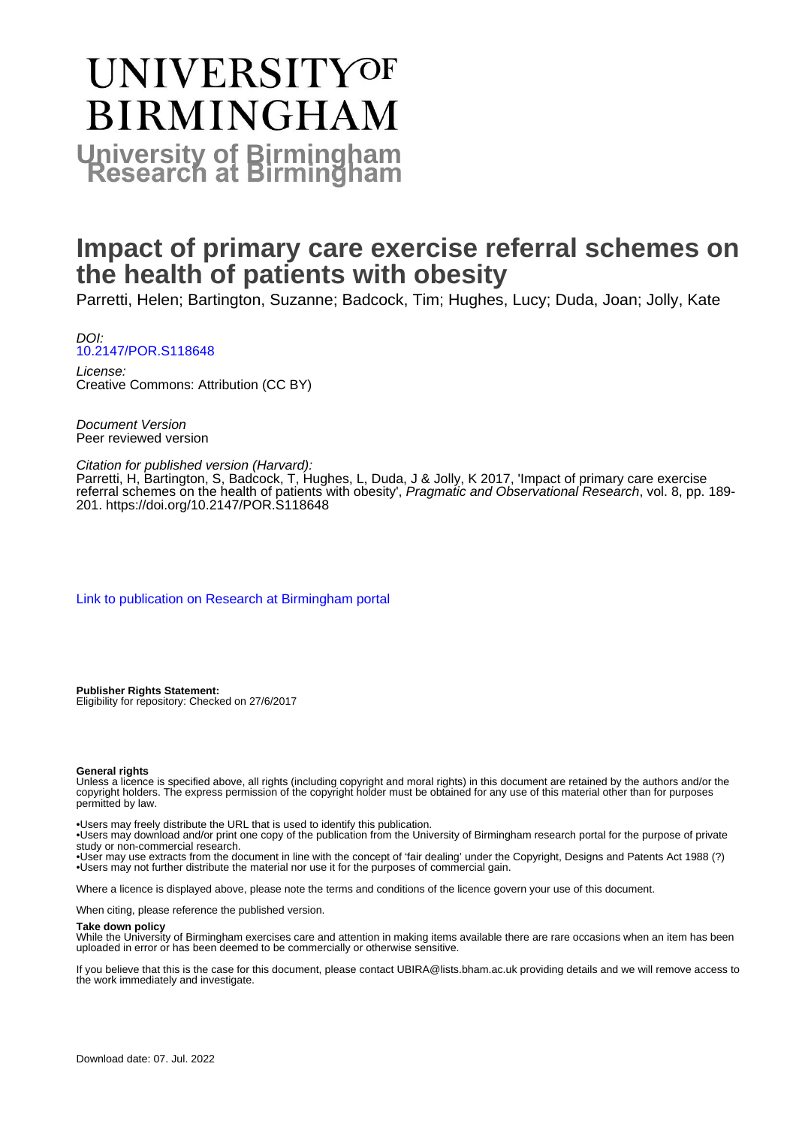# **UNIVERSITYOF BIRMINGHAM University of Birmingham**

# **Impact of primary care exercise referral schemes on the health of patients with obesity**

Parretti, Helen; Bartington, Suzanne; Badcock, Tim; Hughes, Lucy; Duda, Joan; Jolly, Kate

DOI: [10.2147/POR.S118648](https://doi.org/10.2147/POR.S118648)

License: Creative Commons: Attribution (CC BY)

Document Version Peer reviewed version

#### Citation for published version (Harvard):

Parretti, H, Bartington, S, Badcock, T, Hughes, L, Duda, J & Jolly, K 2017, 'Impact of primary care exercise referral schemes on the health of patients with obesity', Pragmatic and Observational Research, vol. 8, pp. 189-201.<https://doi.org/10.2147/POR.S118648>

[Link to publication on Research at Birmingham portal](https://birmingham.elsevierpure.com/en/publications/ff8527c0-a0ba-49a3-a45b-8d020f64e814)

**Publisher Rights Statement:** Eligibility for repository: Checked on 27/6/2017

#### **General rights**

Unless a licence is specified above, all rights (including copyright and moral rights) in this document are retained by the authors and/or the copyright holders. The express permission of the copyright holder must be obtained for any use of this material other than for purposes permitted by law.

• Users may freely distribute the URL that is used to identify this publication.

• Users may download and/or print one copy of the publication from the University of Birmingham research portal for the purpose of private study or non-commercial research.

• User may use extracts from the document in line with the concept of 'fair dealing' under the Copyright, Designs and Patents Act 1988 (?) • Users may not further distribute the material nor use it for the purposes of commercial gain.

Where a licence is displayed above, please note the terms and conditions of the licence govern your use of this document.

When citing, please reference the published version.

#### **Take down policy**

While the University of Birmingham exercises care and attention in making items available there are rare occasions when an item has been uploaded in error or has been deemed to be commercially or otherwise sensitive.

If you believe that this is the case for this document, please contact UBIRA@lists.bham.ac.uk providing details and we will remove access to the work immediately and investigate.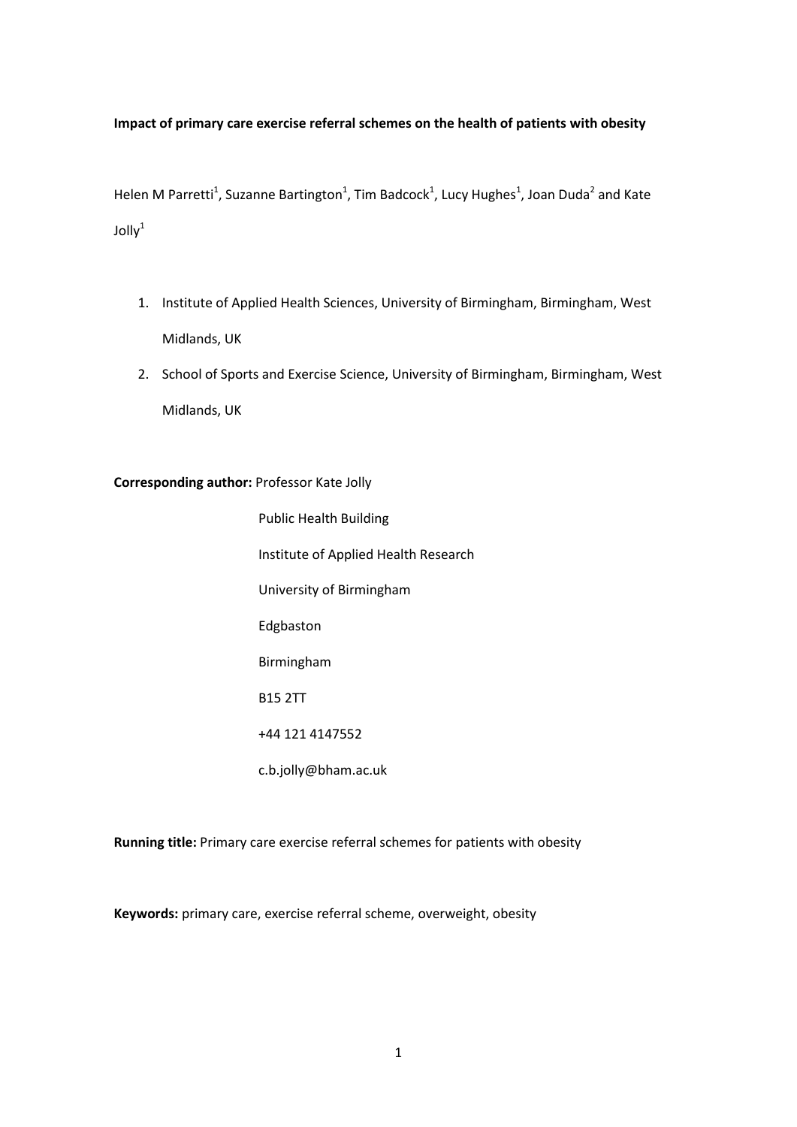#### **Impact of primary care exercise referral schemes on the health of patients with obesity**

Helen M Parretti<sup>1</sup>, Suzanne Bartington<sup>1</sup>, Tim Badcock<sup>1</sup>, Lucy Hughes<sup>1</sup>, Joan Duda<sup>2</sup> and Kate  $J$ olly $1$ 

- 1. Institute of Applied Health Sciences, University of Birmingham, Birmingham, West Midlands, UK
- 2. School of Sports and Exercise Science, University of Birmingham, Birmingham, West Midlands, UK

**Corresponding author:** Professor Kate Jolly

Public Health Building Institute of Applied Health Research University of Birmingham Edgbaston Birmingham B15 2TT +44 121 4147552 c.b.jolly@bham.ac.uk

**Running title:** Primary care exercise referral schemes for patients with obesity

**Keywords:** primary care, exercise referral scheme, overweight, obesity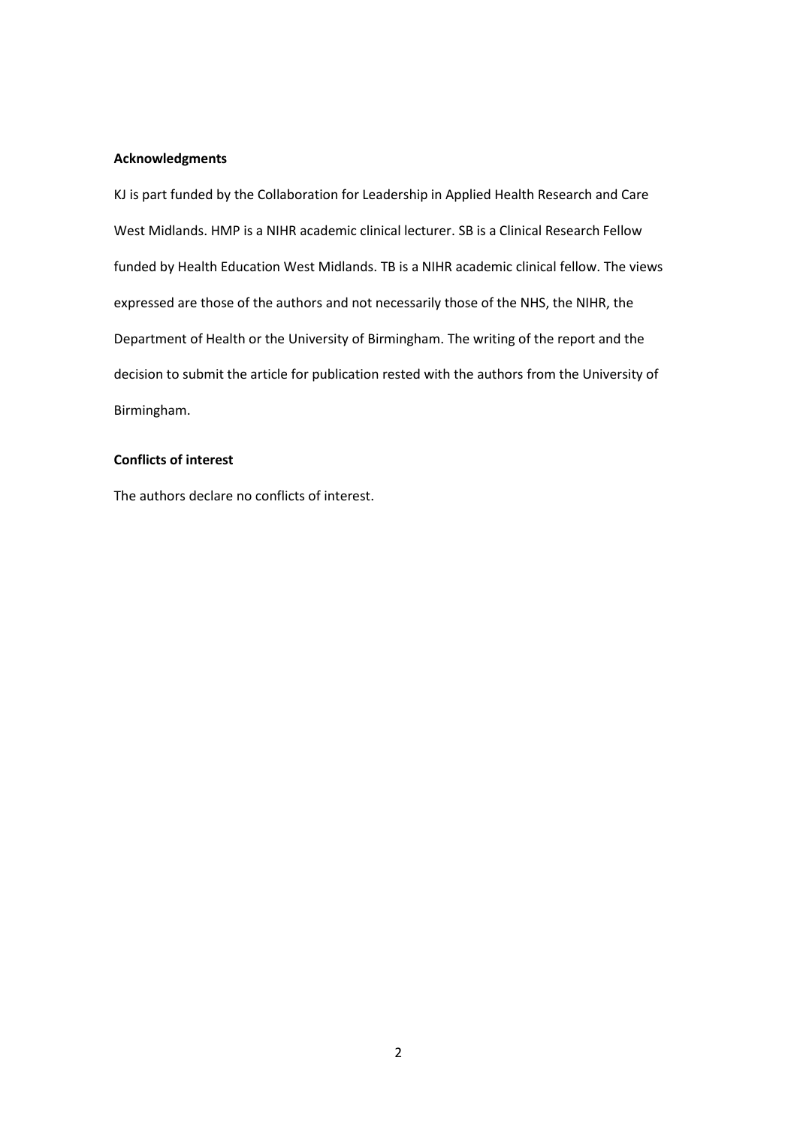#### **Acknowledgments**

KJ is part funded by the Collaboration for Leadership in Applied Health Research and Care West Midlands. HMP is a NIHR academic clinical lecturer. SB is a Clinical Research Fellow funded by Health Education West Midlands. TB is a NIHR academic clinical fellow. The views expressed are those of the authors and not necessarily those of the NHS, the NIHR, the Department of Health or the University of Birmingham. The writing of the report and the decision to submit the article for publication rested with the authors from the University of Birmingham.

#### **Conflicts of interest**

The authors declare no conflicts of interest.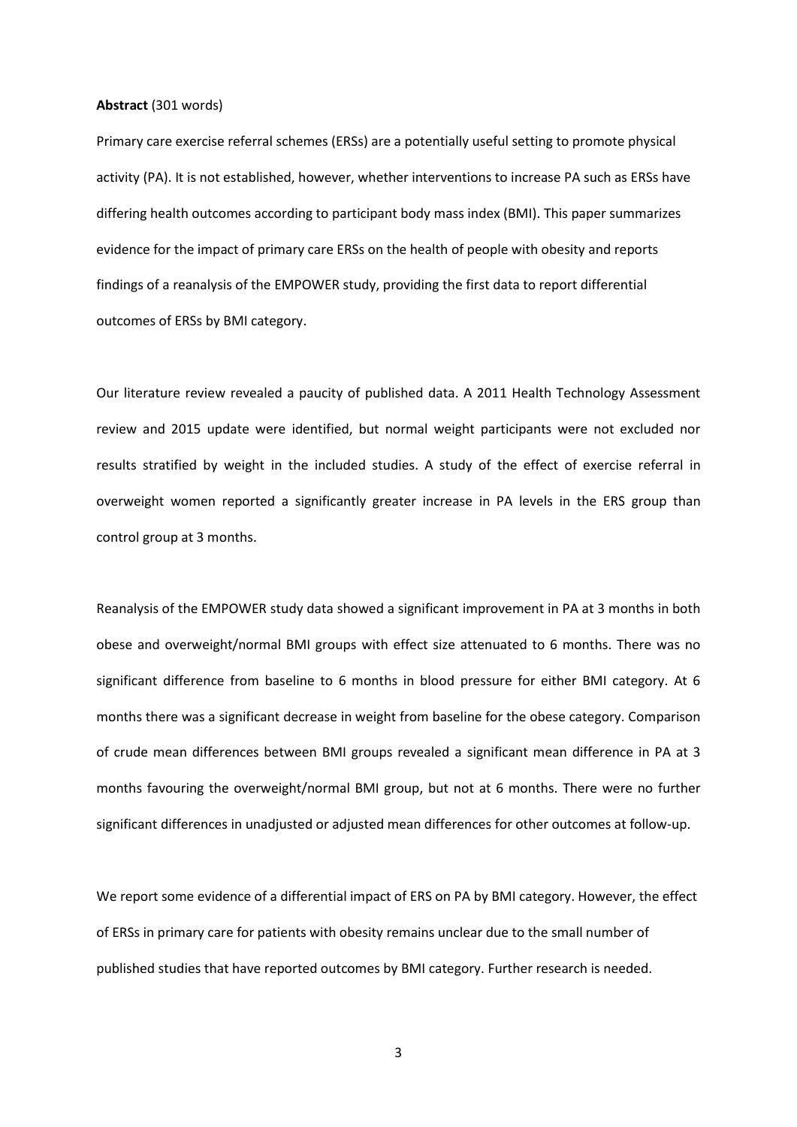#### **Abstract** (301 words)

Primary care exercise referral schemes (ERSs) are a potentially useful setting to promote physical activity (PA). It is not established, however, whether interventions to increase PA such as ERSs have differing health outcomes according to participant body mass index (BMI). This paper summarizes evidence for the impact of primary care ERSs on the health of people with obesity and reports findings of a reanalysis of the EMPOWER study, providing the first data to report differential outcomes of ERSs by BMI category.

Our literature review revealed a paucity of published data. A 2011 Health Technology Assessment review and 2015 update were identified, but normal weight participants were not excluded nor results stratified by weight in the included studies. A study of the effect of exercise referral in overweight women reported a significantly greater increase in PA levels in the ERS group than control group at 3 months.

Reanalysis of the EMPOWER study data showed a significant improvement in PA at 3 months in both obese and overweight/normal BMI groups with effect size attenuated to 6 months. There was no significant difference from baseline to 6 months in blood pressure for either BMI category. At 6 months there was a significant decrease in weight from baseline for the obese category. Comparison of crude mean differences between BMI groups revealed a significant mean difference in PA at 3 months favouring the overweight/normal BMI group, but not at 6 months. There were no further significant differences in unadjusted or adjusted mean differences for other outcomes at follow-up.

We report some evidence of a differential impact of ERS on PA by BMI category. However, the effect of ERSs in primary care for patients with obesity remains unclear due to the small number of published studies that have reported outcomes by BMI category. Further research is needed.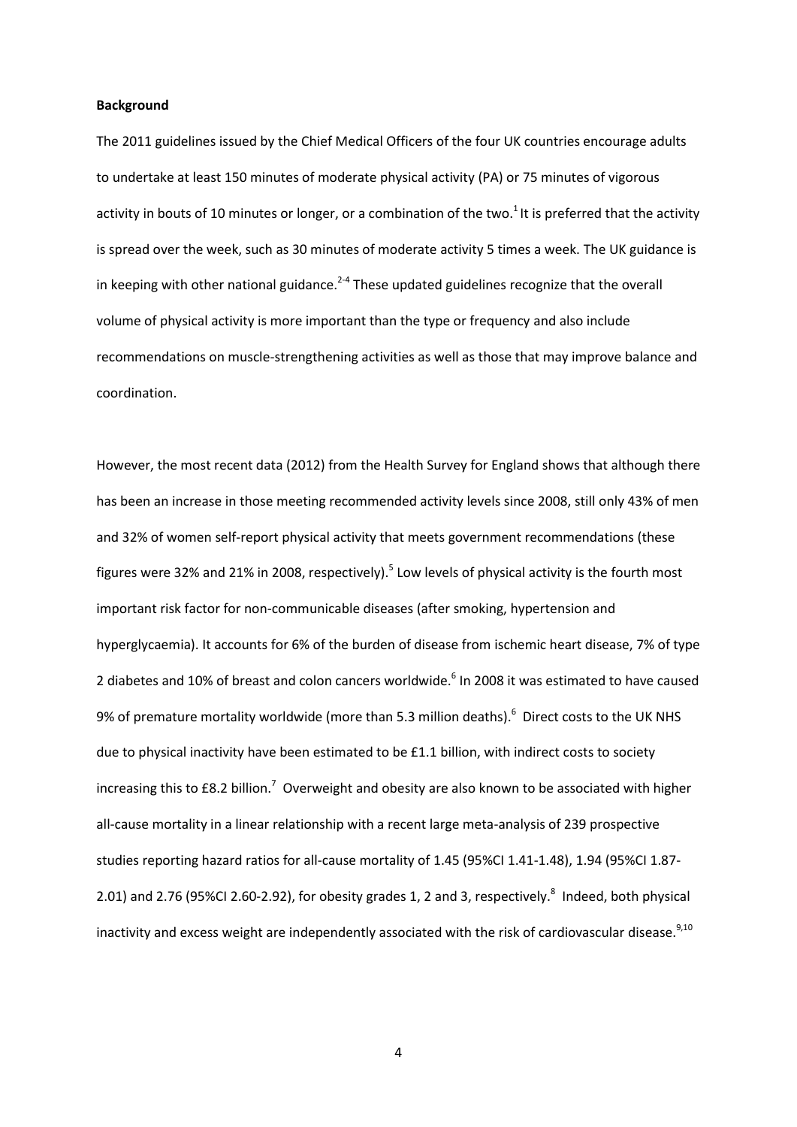#### **Background**

The 2011 guidelines issued by the Chief Medical Officers of the four UK countries encourage adults to undertake at least 150 minutes of moderate physical activity (PA) or 75 minutes of vigorous activity in bouts of 10 minutes or longer, or a combination of the two.<sup>1</sup> It is preferred that the activity is spread over the week, such as 30 minutes of moderate activity 5 times a week. The UK guidance is in keeping with other national guidance.<sup>2-4</sup> These updated guidelines recognize that the overall volume of physical activity is more important than the type or frequency and also include recommendations on muscle-strengthening activities as well as those that may improve balance and coordination.

However, the most recent data (2012) from the Health Survey for England shows that although there has been an increase in those meeting recommended activity levels since 2008, still only 43% of men and 32% of women self-report physical activity that meets government recommendations (these figures were 32% and 21% in 2008, respectively).<sup>5</sup> Low levels of physical activity is the fourth most important risk factor for non-communicable diseases (after smoking, hypertension and hyperglycaemia). It accounts for 6% of the burden of disease from ischemic heart disease, 7% of type 2 diabetes and 10% of breast and colon cancers worldwide.<sup>6</sup> In 2008 it was estimated to have caused 9% of premature mortality worldwide (more than 5.3 million deaths).<sup>6</sup> Direct costs to the UK NHS due to physical inactivity have been estimated to be £1.1 billion, with indirect costs to society increasing this to £8.2 billion.<sup>7</sup> Overweight and obesity are also known to be associated with higher all-cause mortality in a linear relationship with a recent large meta-analysis of 239 prospective studies reporting hazard ratios for all-cause mortality of 1.45 (95%CI 1.41-1.48), 1.94 (95%CI 1.87- 2.01) and 2.76 (95%CI 2.60-2.92), for obesity grades 1, 2 and 3, respectively.<sup>8</sup> Indeed, both physical inactivity and excess weight are independently associated with the risk of cardiovascular disease. $^{9,10}$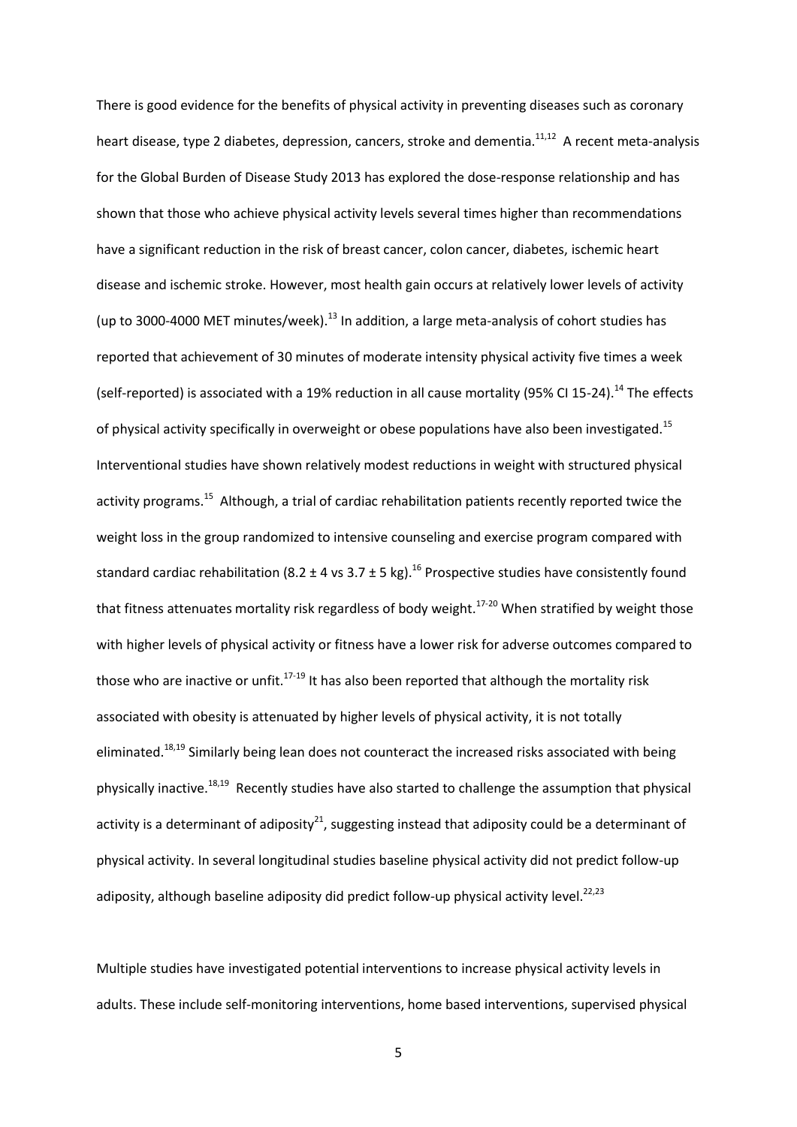There is good evidence for the benefits of physical activity in preventing diseases such as coronary heart disease, type 2 diabetes, depression, cancers, stroke and dementia.<sup>11,12</sup> A recent meta-analysis for the Global Burden of Disease Study 2013 has explored the dose-response relationship and has shown that those who achieve physical activity levels several times higher than recommendations have a significant reduction in the risk of breast cancer, colon cancer, diabetes, ischemic heart disease and ischemic stroke. However, most health gain occurs at relatively lower levels of activity (up to 3000-4000 MET minutes/week). $^{13}$  In addition, a large meta-analysis of cohort studies has reported that achievement of 30 minutes of moderate intensity physical activity five times a week (self-reported) is associated with a 19% reduction in all cause mortality (95% CI 15-24).<sup>14</sup> The effects of physical activity specifically in overweight or obese populations have also been investigated.<sup>15</sup> Interventional studies have shown relatively modest reductions in weight with structured physical activity programs.<sup>15</sup> Although, a trial of cardiac rehabilitation patients recently reported twice the weight loss in the group randomized to intensive counseling and exercise program compared with standard cardiac rehabilitation (8.2  $\pm$  4 vs 3.7  $\pm$  5 kg).<sup>16</sup> Prospective studies have consistently found that fitness attenuates mortality risk regardless of body weight.<sup>17-20</sup> When stratified by weight those with higher levels of physical activity or fitness have a lower risk for adverse outcomes compared to those who are inactive or unfit.<sup>17-19</sup> It has also been reported that although the mortality risk associated with obesity is attenuated by higher levels of physical activity, it is not totally eliminated.<sup>18,19</sup> Similarly being lean does not counteract the increased risks associated with being physically inactive.<sup>18,19</sup> Recently studies have also started to challenge the assumption that physical activity is a determinant of adiposity<sup>21</sup>, suggesting instead that adiposity could be a determinant of physical activity. In several longitudinal studies baseline physical activity did not predict follow-up adiposity, although baseline adiposity did predict follow-up physical activity level.<sup>22,23</sup>

Multiple studies have investigated potential interventions to increase physical activity levels in adults. These include self-monitoring interventions, home based interventions, supervised physical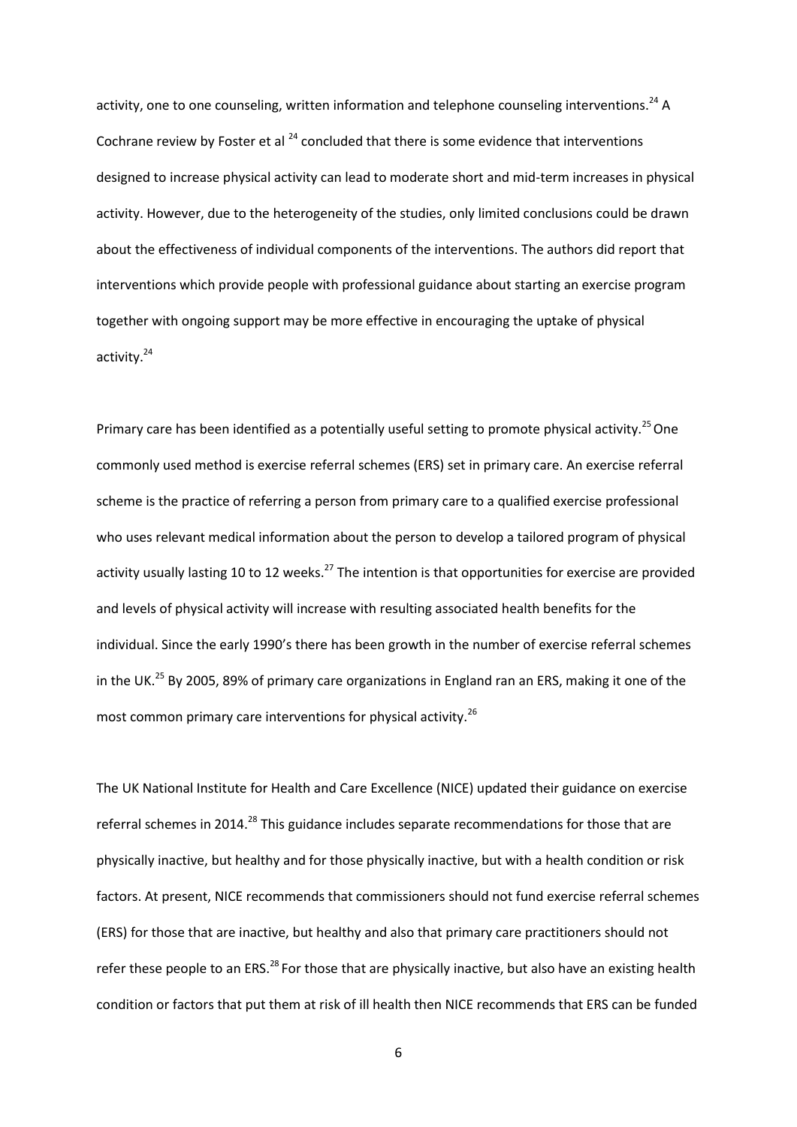activity, one to one counseling, written information and telephone counseling interventions.<sup>24</sup> A Cochrane review by Foster et al  $^{24}$  concluded that there is some evidence that interventions designed to increase physical activity can lead to moderate short and mid-term increases in physical activity. However, due to the heterogeneity of the studies, only limited conclusions could be drawn about the effectiveness of individual components of the interventions. The authors did report that interventions which provide people with professional guidance about starting an exercise program together with ongoing support may be more effective in encouraging the uptake of physical activity.<sup>24</sup>

Primary care has been identified as a potentially useful setting to promote physical activity.<sup>25</sup> One commonly used method is exercise referral schemes (ERS) set in primary care. An exercise referral scheme is the practice of referring a person from primary care to a qualified exercise professional who uses relevant medical information about the person to develop a tailored program of physical activity usually lasting 10 to 12 weeks.<sup>27</sup> The intention is that opportunities for exercise are provided and levels of physical activity will increase with resulting associated health benefits for the individual. Since the early 1990's there has been growth in the number of exercise referral schemes in the UK.<sup>25</sup> By 2005, 89% of primary care organizations in England ran an ERS, making it one of the most common primary care interventions for physical activity.<sup>26</sup>

The UK National Institute for Health and Care Excellence (NICE) updated their guidance on exercise referral schemes in 2014.<sup>28</sup> This guidance includes separate recommendations for those that are physically inactive, but healthy and for those physically inactive, but with a health condition or risk factors. At present, NICE recommends that commissioners should not fund exercise referral schemes (ERS) for those that are inactive, but healthy and also that primary care practitioners should not refer these people to an ERS.<sup>28</sup> For those that are physically inactive, but also have an existing health condition or factors that put them at risk of ill health then NICE recommends that ERS can be funded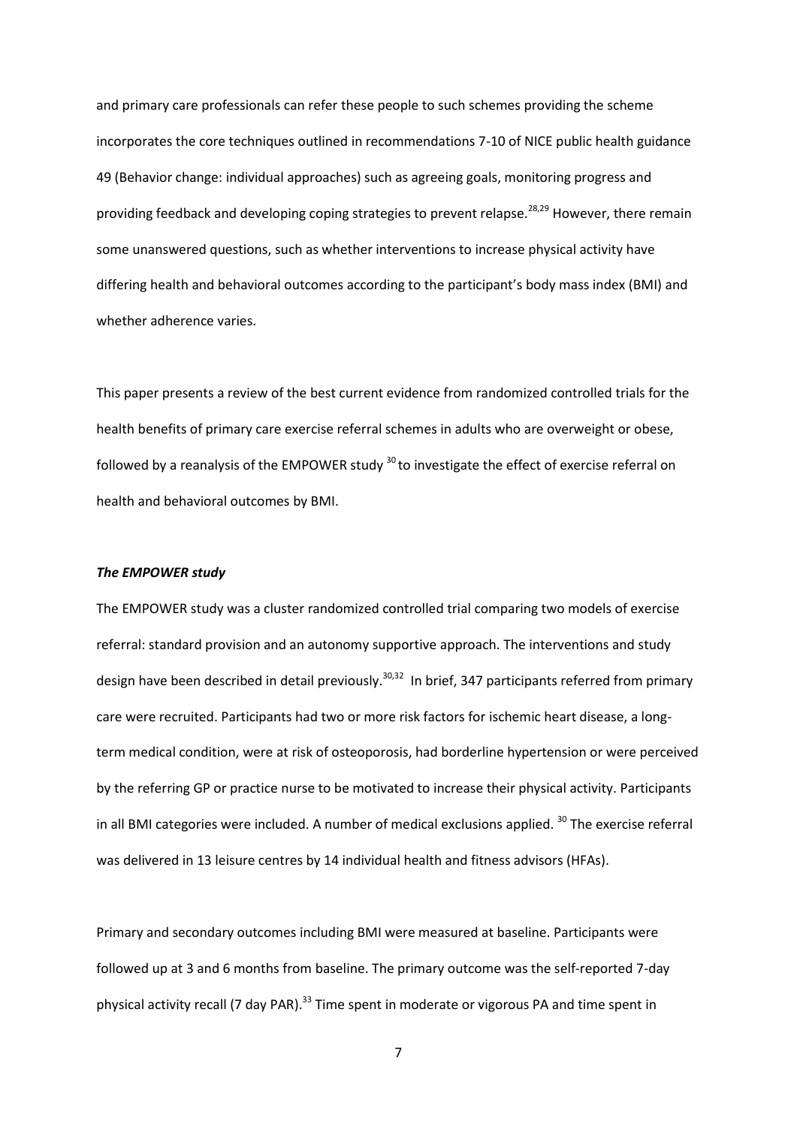and primary care professionals can refer these people to such schemes providing the scheme incorporates the core techniques outlined in recommendations 7-10 of NICE public health guidance 49 (Behavior change: individual approaches) such as agreeing goals, monitoring progress and providing feedback and developing coping strategies to prevent relapse.<sup>28,29</sup> However, there remain some unanswered questions, such as whether interventions to increase physical activity have differing health and behavioral outcomes according to the participant's body mass index (BMI) and whether adherence varies.

This paper presents a review of the best current evidence from randomized controlled trials for the health benefits of primary care exercise referral schemes in adults who are overweight or obese, followed by a reanalysis of the EMPOWER study <sup>30</sup> to investigate the effect of exercise referral on health and behavioral outcomes by BMI.

#### *The EMPOWER study*

The EMPOWER study was a cluster randomized controlled trial comparing two models of exercise referral: standard provision and an autonomy supportive approach. The interventions and study design have been described in detail previously.<sup>30,32</sup> In brief, 347 participants referred from primary care were recruited. Participants had two or more risk factors for ischemic heart disease, a longterm medical condition, were at risk of osteoporosis, had borderline hypertension or were perceived by the referring GP or practice nurse to be motivated to increase their physical activity. Participants in all BMI categories were included. A number of medical exclusions applied.  $30$  The exercise referral was delivered in 13 leisure centres by 14 individual health and fitness advisors (HFAs).

Primary and secondary outcomes including BMI were measured at baseline. Participants were followed up at 3 and 6 months from baseline. The primary outcome was the self-reported 7-day physical activity recall (7 day PAR).<sup>33</sup> Time spent in moderate or vigorous PA and time spent in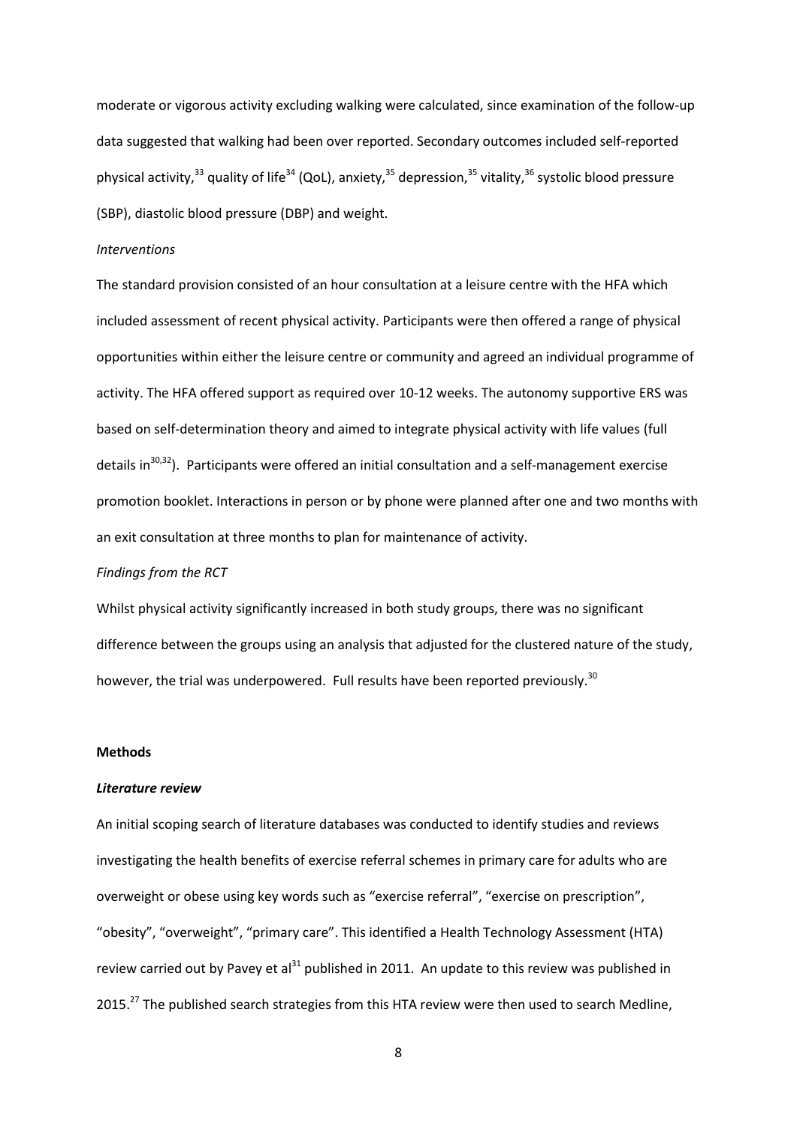moderate or vigorous activity excluding walking were calculated, since examination of the follow-up data suggested that walking had been over reported. Secondary outcomes included self-reported physical activity,<sup>33</sup> quality of life<sup>34</sup> (QoL), anxiety,<sup>35</sup> depression,<sup>35</sup> vitality,<sup>36</sup> systolic blood pressure (SBP), diastolic blood pressure (DBP) and weight.

#### *Interventions*

The standard provision consisted of an hour consultation at a leisure centre with the HFA which included assessment of recent physical activity. Participants were then offered a range of physical opportunities within either the leisure centre or community and agreed an individual programme of activity. The HFA offered support as required over 10-12 weeks. The autonomy supportive ERS was based on self-determination theory and aimed to integrate physical activity with life values (full details in<sup>30,32</sup>). Participants were offered an initial consultation and a self-management exercise promotion booklet. Interactions in person or by phone were planned after one and two months with an exit consultation at three months to plan for maintenance of activity.

#### *Findings from the RCT*

Whilst physical activity significantly increased in both study groups, there was no significant difference between the groups using an analysis that adjusted for the clustered nature of the study, however, the trial was underpowered. Full results have been reported previously.<sup>30</sup>

#### **Methods**

#### *Literature review*

An initial scoping search of literature databases was conducted to identify studies and reviews investigating the health benefits of exercise referral schemes in primary care for adults who are overweight or obese using key words such as "exercise referral", "exercise on prescription", "obesity", "overweight", "primary care". This identified a Health Technology Assessment (HTA) review carried out by Pavey et al<sup>31</sup> published in 2011. An update to this review was published in 2015.<sup>27</sup> The published search strategies from this HTA review were then used to search Medline,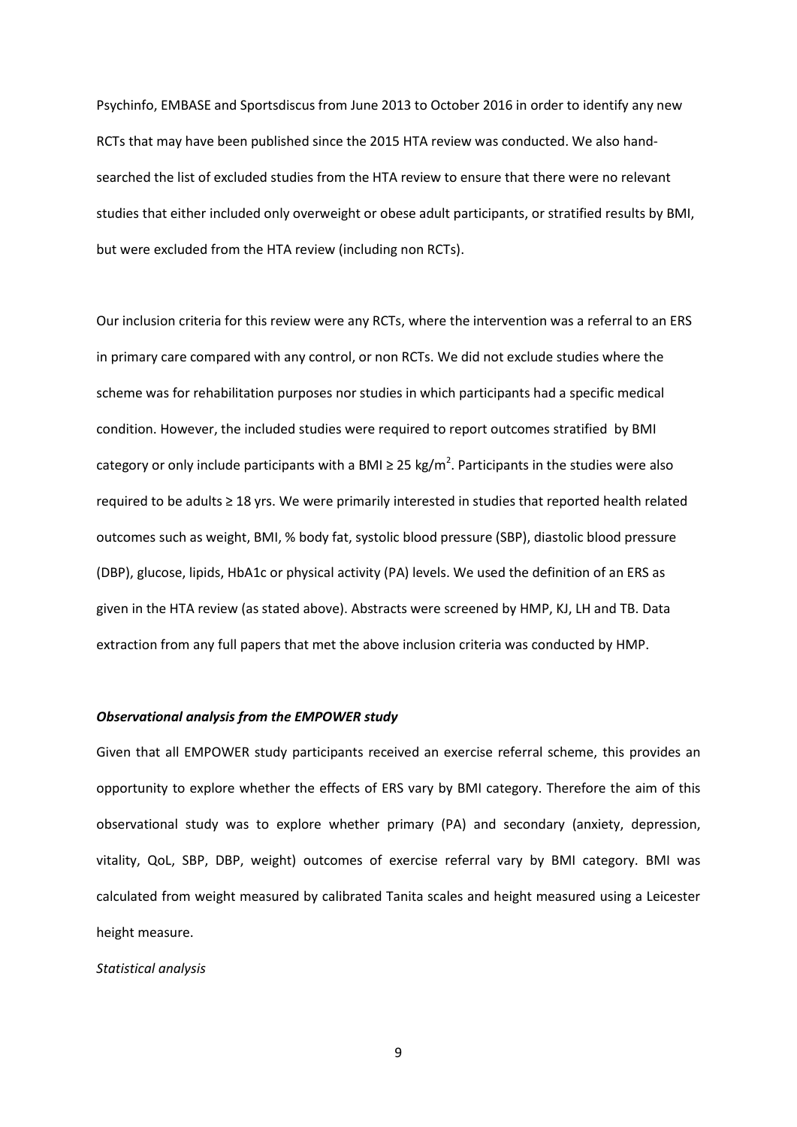Psychinfo, EMBASE and Sportsdiscus from June 2013 to October 2016 in order to identify any new RCTs that may have been published since the 2015 HTA review was conducted. We also handsearched the list of excluded studies from the HTA review to ensure that there were no relevant studies that either included only overweight or obese adult participants, or stratified results by BMI, but were excluded from the HTA review (including non RCTs).

Our inclusion criteria for this review were any RCTs, where the intervention was a referral to an ERS in primary care compared with any control, or non RCTs. We did not exclude studies where the scheme was for rehabilitation purposes nor studies in which participants had a specific medical condition. However, the included studies were required to report outcomes stratified by BMI category or only include participants with a BMI  $\geq$  25 kg/m<sup>2</sup>. Participants in the studies were also required to be adults ≥ 18 yrs. We were primarily interested in studies that reported health related outcomes such as weight, BMI, % body fat, systolic blood pressure (SBP), diastolic blood pressure (DBP), glucose, lipids, HbA1c or physical activity (PA) levels. We used the definition of an ERS as given in the HTA review (as stated above). Abstracts were screened by HMP, KJ, LH and TB. Data extraction from any full papers that met the above inclusion criteria was conducted by HMP.

#### *Observational analysis from the EMPOWER study*

Given that all EMPOWER study participants received an exercise referral scheme, this provides an opportunity to explore whether the effects of ERS vary by BMI category. Therefore the aim of this observational study was to explore whether primary (PA) and secondary (anxiety, depression, vitality, QoL, SBP, DBP, weight) outcomes of exercise referral vary by BMI category. BMI was calculated from weight measured by calibrated Tanita scales and height measured using a Leicester height measure.

#### *Statistical analysis*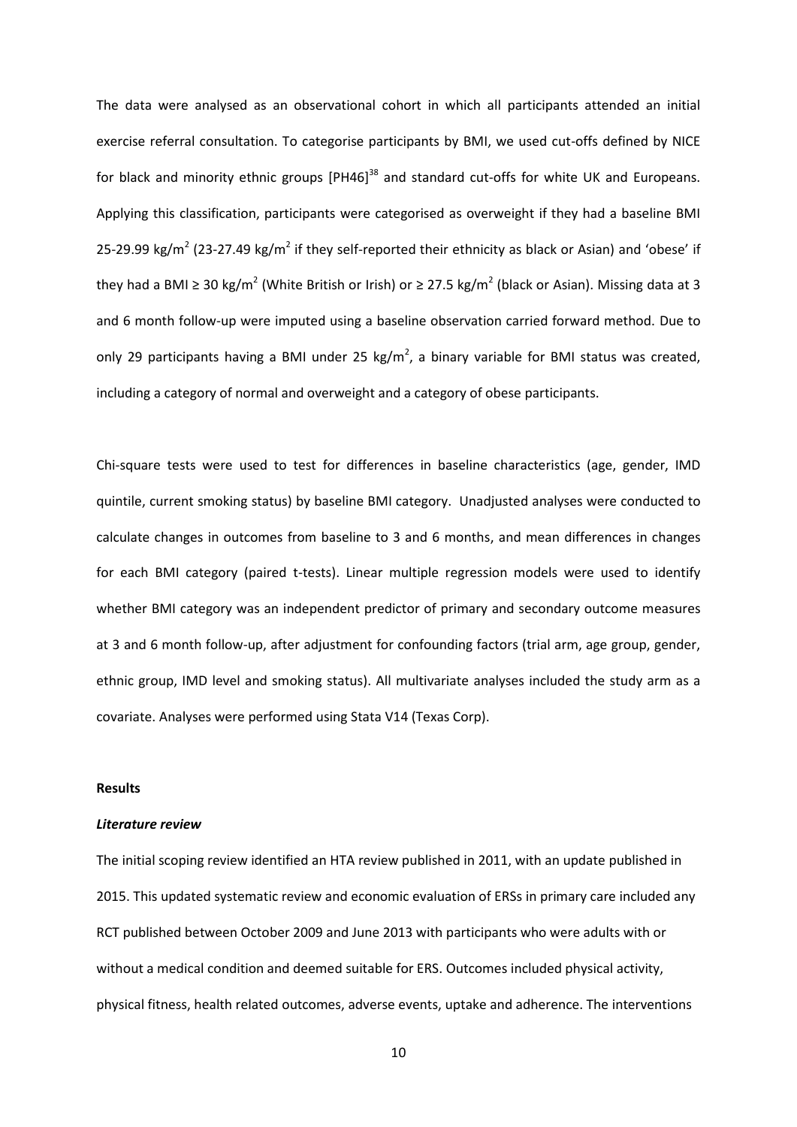The data were analysed as an observational cohort in which all participants attended an initial exercise referral consultation. To categorise participants by BMI, we used cut-offs defined by NICE for black and minority ethnic groups  $[PH46]^{38}$  and standard cut-offs for white UK and Europeans. Applying this classification, participants were categorised as overweight if they had a baseline BMI 25-29.99 kg/m<sup>2</sup> (23-27.49 kg/m<sup>2</sup> if they self-reported their ethnicity as black or Asian) and 'obese' if they had a BMI ≥ 30 kg/m<sup>2</sup> (White British or Irish) or ≥ 27.5 kg/m<sup>2</sup> (black or Asian). Missing data at 3 and 6 month follow-up were imputed using a baseline observation carried forward method. Due to only 29 participants having a BMI under 25 kg/m<sup>2</sup>, a binary variable for BMI status was created, including a category of normal and overweight and a category of obese participants.

Chi-square tests were used to test for differences in baseline characteristics (age, gender, IMD quintile, current smoking status) by baseline BMI category. Unadjusted analyses were conducted to calculate changes in outcomes from baseline to 3 and 6 months, and mean differences in changes for each BMI category (paired t-tests). Linear multiple regression models were used to identify whether BMI category was an independent predictor of primary and secondary outcome measures at 3 and 6 month follow-up, after adjustment for confounding factors (trial arm, age group, gender, ethnic group, IMD level and smoking status). All multivariate analyses included the study arm as a covariate. Analyses were performed using Stata V14 (Texas Corp).

#### **Results**

#### *Literature review*

The initial scoping review identified an HTA review published in 2011, with an update published in 2015. This updated systematic review and economic evaluation of ERSs in primary care included any RCT published between October 2009 and June 2013 with participants who were adults with or without a medical condition and deemed suitable for ERS. Outcomes included physical activity, physical fitness, health related outcomes, adverse events, uptake and adherence. The interventions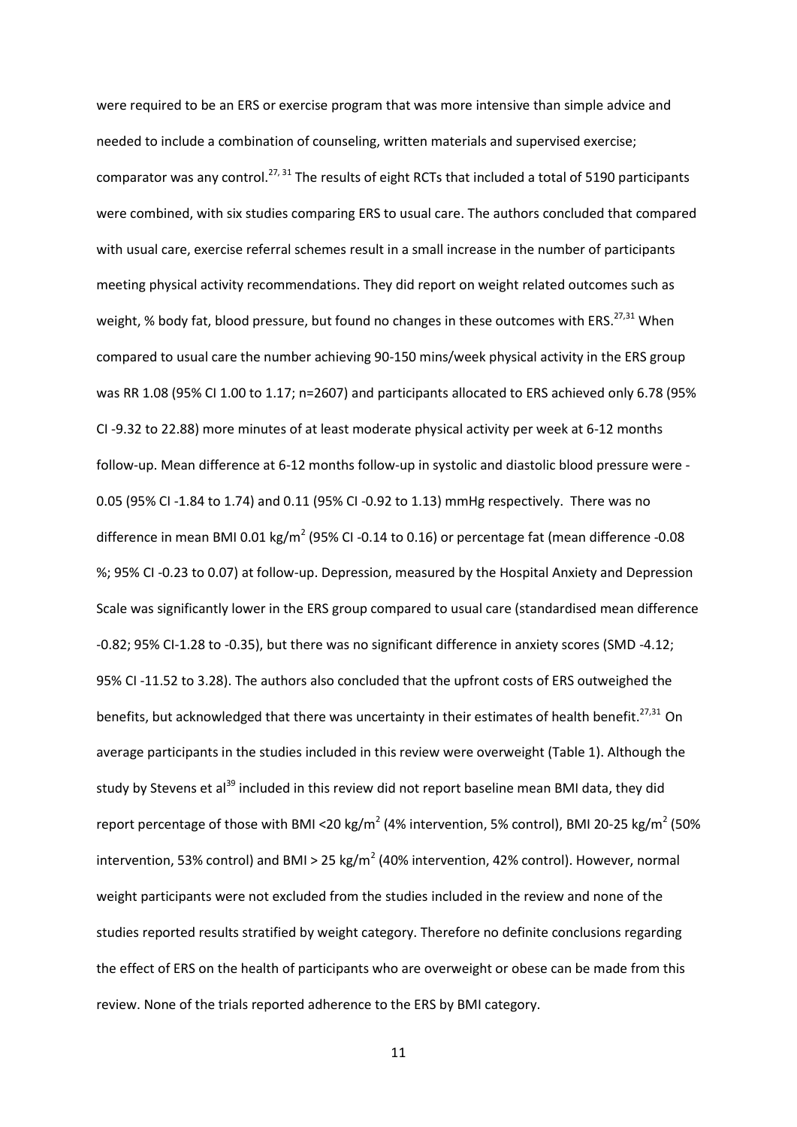were required to be an ERS or exercise program that was more intensive than simple advice and needed to include a combination of counseling, written materials and supervised exercise; comparator was any control.<sup>27, 31</sup> The results of eight RCTs that included a total of 5190 participants were combined, with six studies comparing ERS to usual care. The authors concluded that compared with usual care, exercise referral schemes result in a small increase in the number of participants meeting physical activity recommendations. They did report on weight related outcomes such as weight, % body fat, blood pressure, but found no changes in these outcomes with ERS.<sup>27,31</sup> When compared to usual care the number achieving 90-150 mins/week physical activity in the ERS group was RR 1.08 (95% CI 1.00 to 1.17; n=2607) and participants allocated to ERS achieved only 6.78 (95% CI -9.32 to 22.88) more minutes of at least moderate physical activity per week at 6-12 months follow-up. Mean difference at 6-12 months follow-up in systolic and diastolic blood pressure were - 0.05 (95% CI -1.84 to 1.74) and 0.11 (95% CI -0.92 to 1.13) mmHg respectively. There was no difference in mean BMI 0.01 kg/m<sup>2</sup> (95% CI -0.14 to 0.16) or percentage fat (mean difference -0.08 %; 95% CI -0.23 to 0.07) at follow-up. Depression, measured by the Hospital Anxiety and Depression Scale was significantly lower in the ERS group compared to usual care (standardised mean difference -0.82; 95% CI-1.28 to -0.35), but there was no significant difference in anxiety scores (SMD -4.12; 95% CI -11.52 to 3.28). The authors also concluded that the upfront costs of ERS outweighed the benefits, but acknowledged that there was uncertainty in their estimates of health benefit.<sup>27,31</sup> On average participants in the studies included in this review were overweight (Table 1). Although the study by Stevens et al<sup>39</sup> included in this review did not report baseline mean BMI data, they did report percentage of those with BMI <20 kg/m<sup>2</sup> (4% intervention, 5% control), BMI 20-25 kg/m<sup>2</sup> (50% intervention, 53% control) and BMI > 25 kg/m<sup>2</sup> (40% intervention, 42% control). However, normal weight participants were not excluded from the studies included in the review and none of the studies reported results stratified by weight category. Therefore no definite conclusions regarding the effect of ERS on the health of participants who are overweight or obese can be made from this review. None of the trials reported adherence to the ERS by BMI category.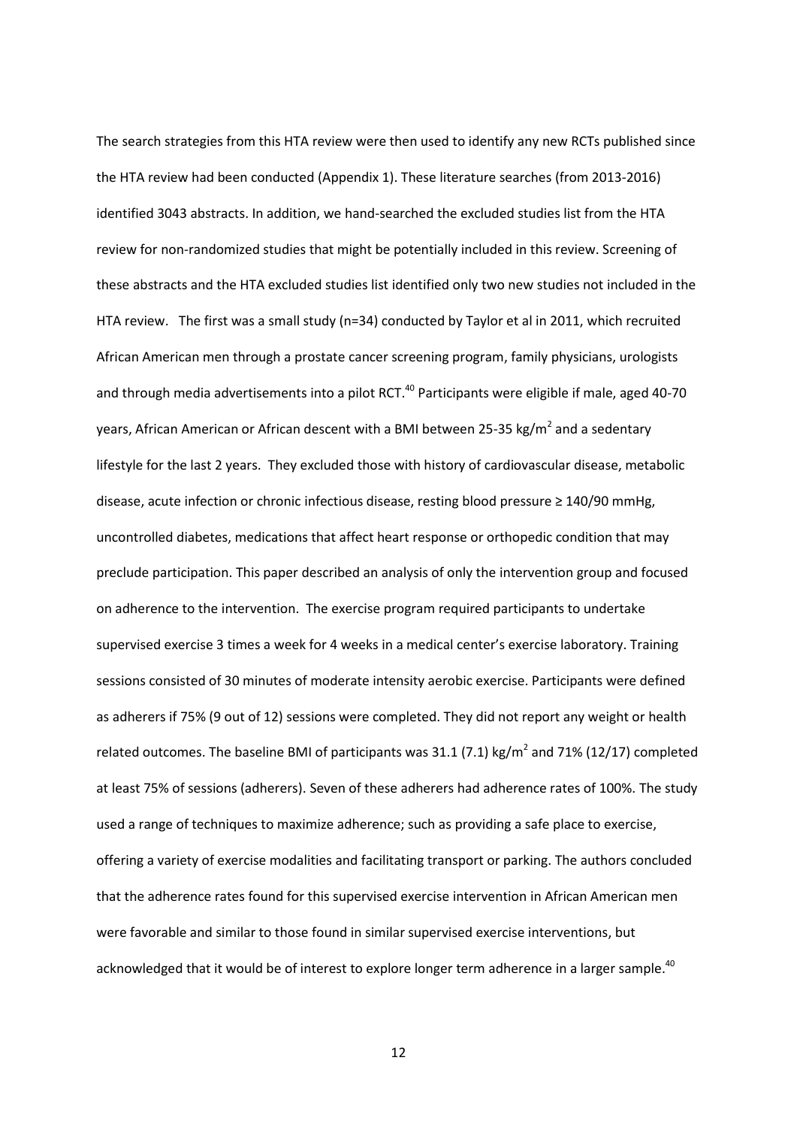The search strategies from this HTA review were then used to identify any new RCTs published since the HTA review had been conducted (Appendix 1). These literature searches (from 2013-2016) identified 3043 abstracts. In addition, we hand-searched the excluded studies list from the HTA review for non-randomized studies that might be potentially included in this review. Screening of these abstracts and the HTA excluded studies list identified only two new studies not included in the HTA review. The first was a small study (n=34) conducted by Taylor et al in 2011, which recruited African American men through a prostate cancer screening program, family physicians, urologists and through media advertisements into a pilot RCT.<sup>40</sup> Participants were eligible if male, aged 40-70 years, African American or African descent with a BMI between 25-35 kg/m<sup>2</sup> and a sedentary lifestyle for the last 2 years. They excluded those with history of cardiovascular disease, metabolic disease, acute infection or chronic infectious disease, resting blood pressure ≥ 140/90 mmHg, uncontrolled diabetes, medications that affect heart response or orthopedic condition that may preclude participation. This paper described an analysis of only the intervention group and focused on adherence to the intervention. The exercise program required participants to undertake supervised exercise 3 times a week for 4 weeks in a medical center's exercise laboratory. Training sessions consisted of 30 minutes of moderate intensity aerobic exercise. Participants were defined as adherers if 75% (9 out of 12) sessions were completed. They did not report any weight or health related outcomes. The baseline BMI of participants was 31.1 (7.1) kg/m<sup>2</sup> and 71% (12/17) completed at least 75% of sessions (adherers). Seven of these adherers had adherence rates of 100%. The study used a range of techniques to maximize adherence; such as providing a safe place to exercise, offering a variety of exercise modalities and facilitating transport or parking. The authors concluded that the adherence rates found for this supervised exercise intervention in African American men were favorable and similar to those found in similar supervised exercise interventions, but acknowledged that it would be of interest to explore longer term adherence in a larger sample.<sup>40</sup>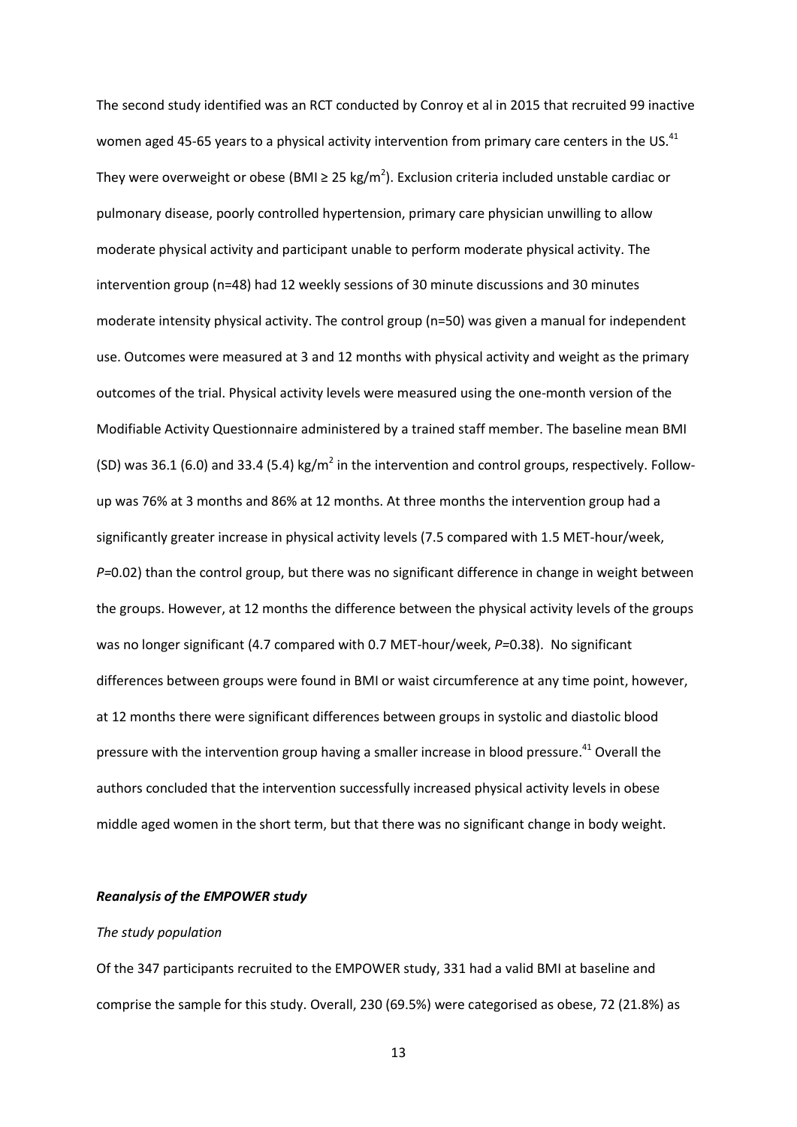The second study identified was an RCT conducted by Conroy et al in 2015 that recruited 99 inactive women aged 45-65 years to a physical activity intervention from primary care centers in the US.<sup>41</sup> They were overweight or obese (BMI  $\geq 25$  kg/m<sup>2</sup>). Exclusion criteria included unstable cardiac or pulmonary disease, poorly controlled hypertension, primary care physician unwilling to allow moderate physical activity and participant unable to perform moderate physical activity. The intervention group (n=48) had 12 weekly sessions of 30 minute discussions and 30 minutes moderate intensity physical activity. The control group (n=50) was given a manual for independent use. Outcomes were measured at 3 and 12 months with physical activity and weight as the primary outcomes of the trial. Physical activity levels were measured using the one-month version of the Modifiable Activity Questionnaire administered by a trained staff member. The baseline mean BMI (SD) was 36.1 (6.0) and 33.4 (5.4) kg/m<sup>2</sup> in the intervention and control groups, respectively. Followup was 76% at 3 months and 86% at 12 months. At three months the intervention group had a significantly greater increase in physical activity levels (7.5 compared with 1.5 MET-hour/week, *P=*0.02) than the control group, but there was no significant difference in change in weight between the groups. However, at 12 months the difference between the physical activity levels of the groups was no longer significant (4.7 compared with 0.7 MET-hour/week, *P=*0.38). No significant differences between groups were found in BMI or waist circumference at any time point, however, at 12 months there were significant differences between groups in systolic and diastolic blood pressure with the intervention group having a smaller increase in blood pressure.<sup>41</sup> Overall the authors concluded that the intervention successfully increased physical activity levels in obese middle aged women in the short term, but that there was no significant change in body weight.

#### *Reanalysis of the EMPOWER study*

#### *The study population*

Of the 347 participants recruited to the EMPOWER study, 331 had a valid BMI at baseline and comprise the sample for this study. Overall, 230 (69.5%) were categorised as obese, 72 (21.8%) as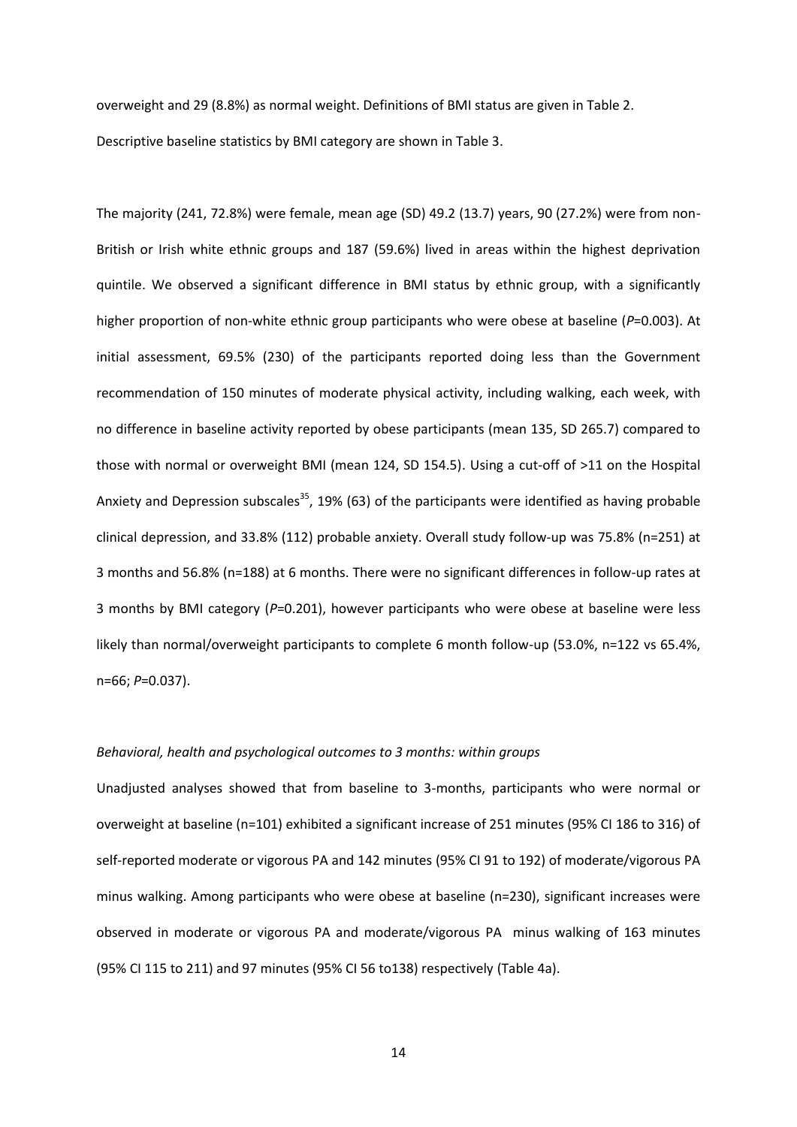overweight and 29 (8.8%) as normal weight. Definitions of BMI status are given in Table 2. Descriptive baseline statistics by BMI category are shown in Table 3.

The majority (241, 72.8%) were female, mean age (SD) 49.2 (13.7) years, 90 (27.2%) were from non-British or Irish white ethnic groups and 187 (59.6%) lived in areas within the highest deprivation quintile. We observed a significant difference in BMI status by ethnic group, with a significantly higher proportion of non-white ethnic group participants who were obese at baseline (*P*=0.003). At initial assessment, 69.5% (230) of the participants reported doing less than the Government recommendation of 150 minutes of moderate physical activity, including walking, each week, with no difference in baseline activity reported by obese participants (mean 135, SD 265.7) compared to those with normal or overweight BMI (mean 124, SD 154.5). Using a cut-off of >11 on the Hospital Anxiety and Depression subscales<sup>35</sup>, 19% (63) of the participants were identified as having probable clinical depression, and 33.8% (112) probable anxiety. Overall study follow-up was 75.8% (n=251) at 3 months and 56.8% (n=188) at 6 months. There were no significant differences in follow-up rates at 3 months by BMI category (*P*=0.201), however participants who were obese at baseline were less likely than normal/overweight participants to complete 6 month follow-up (53.0%, n=122 vs 65.4%, n=66; *P*=0.037).

#### *Behavioral, health and psychological outcomes to 3 months: within groups*

Unadjusted analyses showed that from baseline to 3-months, participants who were normal or overweight at baseline (n=101) exhibited a significant increase of 251 minutes (95% CI 186 to 316) of self-reported moderate or vigorous PA and 142 minutes (95% CI 91 to 192) of moderate/vigorous PA minus walking. Among participants who were obese at baseline (n=230), significant increases were observed in moderate or vigorous PA and moderate/vigorous PA minus walking of 163 minutes (95% CI 115 to 211) and 97 minutes (95% CI 56 to138) respectively (Table 4a).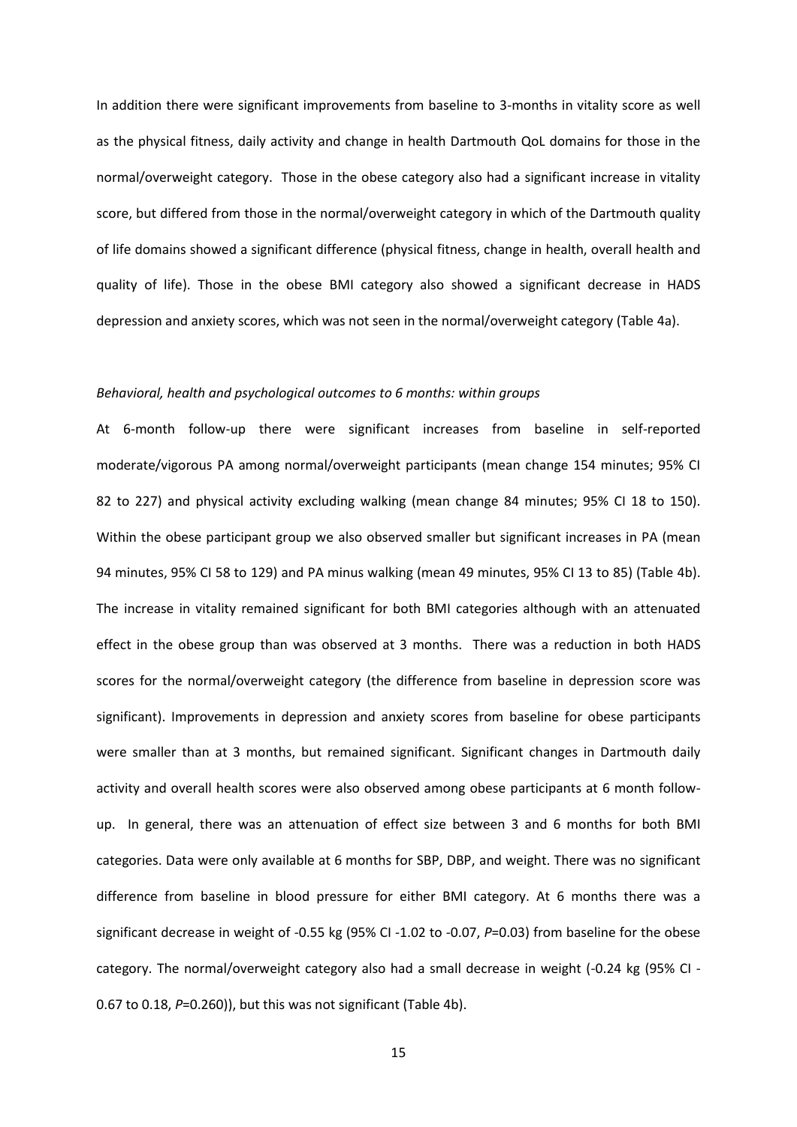In addition there were significant improvements from baseline to 3-months in vitality score as well as the physical fitness, daily activity and change in health Dartmouth QoL domains for those in the normal/overweight category. Those in the obese category also had a significant increase in vitality score, but differed from those in the normal/overweight category in which of the Dartmouth quality of life domains showed a significant difference (physical fitness, change in health, overall health and quality of life). Those in the obese BMI category also showed a significant decrease in HADS depression and anxiety scores, which was not seen in the normal/overweight category (Table 4a).

#### *Behavioral, health and psychological outcomes to 6 months: within groups*

At 6-month follow-up there were significant increases from baseline in self-reported moderate/vigorous PA among normal/overweight participants (mean change 154 minutes; 95% CI 82 to 227) and physical activity excluding walking (mean change 84 minutes; 95% CI 18 to 150). Within the obese participant group we also observed smaller but significant increases in PA (mean 94 minutes, 95% CI 58 to 129) and PA minus walking (mean 49 minutes, 95% CI 13 to 85) (Table 4b). The increase in vitality remained significant for both BMI categories although with an attenuated effect in the obese group than was observed at 3 months. There was a reduction in both HADS scores for the normal/overweight category (the difference from baseline in depression score was significant). Improvements in depression and anxiety scores from baseline for obese participants were smaller than at 3 months, but remained significant. Significant changes in Dartmouth daily activity and overall health scores were also observed among obese participants at 6 month followup. In general, there was an attenuation of effect size between 3 and 6 months for both BMI categories. Data were only available at 6 months for SBP, DBP, and weight. There was no significant difference from baseline in blood pressure for either BMI category. At 6 months there was a significant decrease in weight of -0.55 kg (95% CI -1.02 to -0.07, *P*=0.03) from baseline for the obese category. The normal/overweight category also had a small decrease in weight (-0.24 kg (95% CI - 0.67 to 0.18, *P*=0.260)), but this was not significant (Table 4b).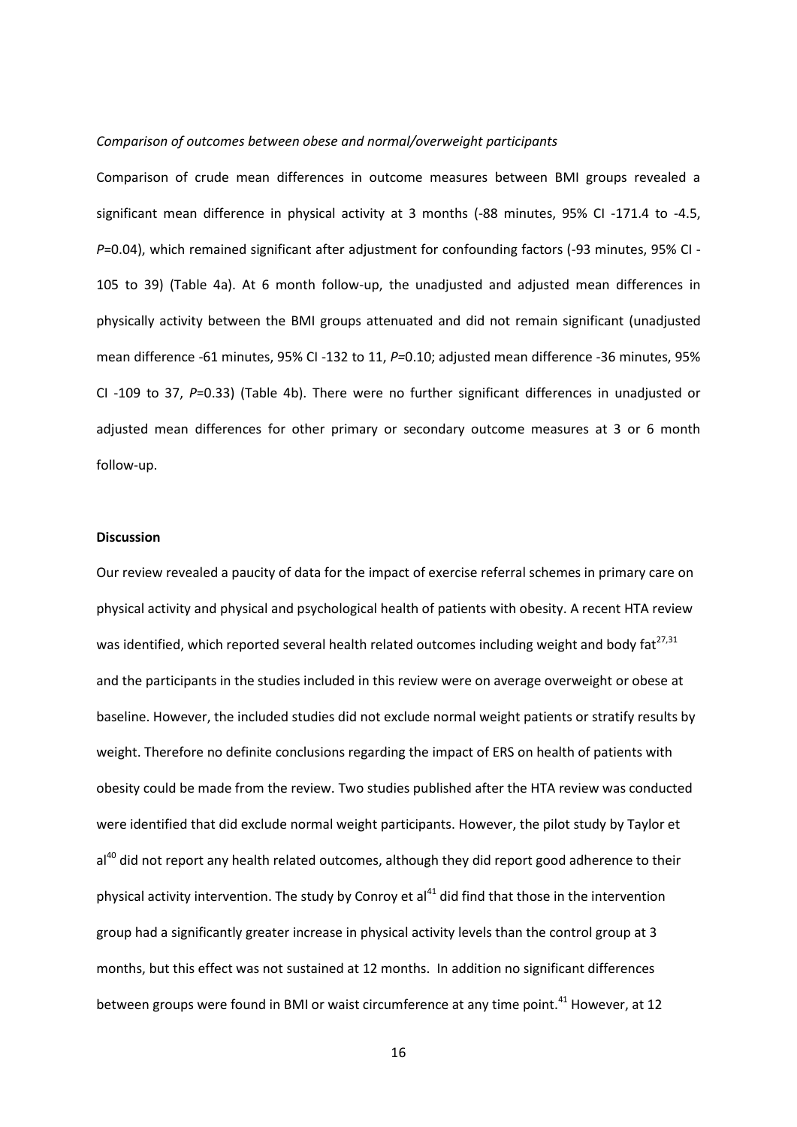#### *Comparison of outcomes between obese and normal/overweight participants*

Comparison of crude mean differences in outcome measures between BMI groups revealed a significant mean difference in physical activity at 3 months (-88 minutes, 95% CI -171.4 to -4.5, *P*=0.04), which remained significant after adjustment for confounding factors (-93 minutes, 95% CI - 105 to 39) (Table 4a). At 6 month follow-up, the unadjusted and adjusted mean differences in physically activity between the BMI groups attenuated and did not remain significant (unadjusted mean difference -61 minutes, 95% CI -132 to 11, *P=*0.10; adjusted mean difference -36 minutes, 95% CI -109 to 37, *P*=0.33) (Table 4b). There were no further significant differences in unadjusted or adjusted mean differences for other primary or secondary outcome measures at 3 or 6 month follow-up.

#### **Discussion**

Our review revealed a paucity of data for the impact of exercise referral schemes in primary care on physical activity and physical and psychological health of patients with obesity. A recent HTA review was identified, which reported several health related outcomes including weight and body fat $^{27,31}$ and the participants in the studies included in this review were on average overweight or obese at baseline. However, the included studies did not exclude normal weight patients or stratify results by weight. Therefore no definite conclusions regarding the impact of ERS on health of patients with obesity could be made from the review. Two studies published after the HTA review was conducted were identified that did exclude normal weight participants. However, the pilot study by Taylor et al<sup>40</sup> did not report any health related outcomes, although they did report good adherence to their physical activity intervention. The study by Conroy et  $al<sup>41</sup>$  did find that those in the intervention group had a significantly greater increase in physical activity levels than the control group at 3 months, but this effect was not sustained at 12 months. In addition no significant differences between groups were found in BMI or waist circumference at any time point.<sup>41</sup> However, at 12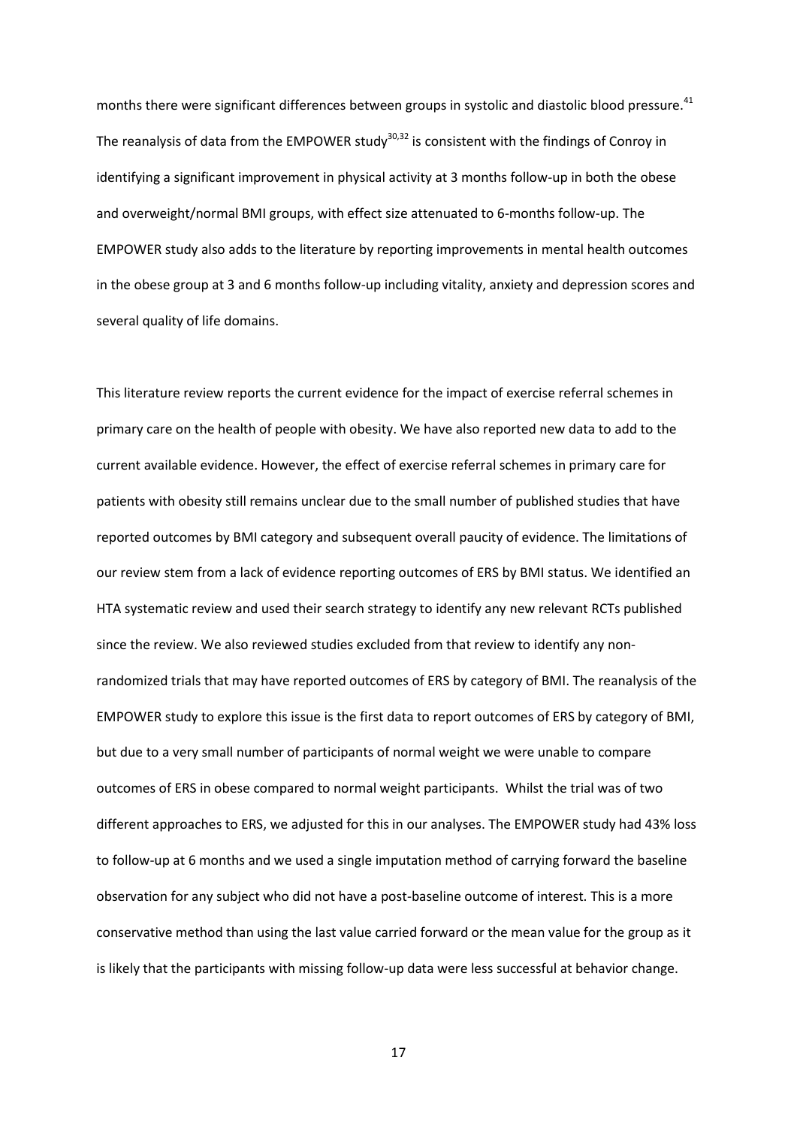months there were significant differences between groups in systolic and diastolic blood pressure.<sup>41</sup> The reanalysis of data from the EMPOWER study<sup>30,32</sup> is consistent with the findings of Conroy in identifying a significant improvement in physical activity at 3 months follow-up in both the obese and overweight/normal BMI groups, with effect size attenuated to 6-months follow-up. The EMPOWER study also adds to the literature by reporting improvements in mental health outcomes in the obese group at 3 and 6 months follow-up including vitality, anxiety and depression scores and several quality of life domains.

This literature review reports the current evidence for the impact of exercise referral schemes in primary care on the health of people with obesity. We have also reported new data to add to the current available evidence. However, the effect of exercise referral schemes in primary care for patients with obesity still remains unclear due to the small number of published studies that have reported outcomes by BMI category and subsequent overall paucity of evidence. The limitations of our review stem from a lack of evidence reporting outcomes of ERS by BMI status. We identified an HTA systematic review and used their search strategy to identify any new relevant RCTs published since the review. We also reviewed studies excluded from that review to identify any nonrandomized trials that may have reported outcomes of ERS by category of BMI. The reanalysis of the EMPOWER study to explore this issue is the first data to report outcomes of ERS by category of BMI, but due to a very small number of participants of normal weight we were unable to compare outcomes of ERS in obese compared to normal weight participants. Whilst the trial was of two different approaches to ERS, we adjusted for this in our analyses. The EMPOWER study had 43% loss to follow-up at 6 months and we used a single imputation method of carrying forward the baseline observation for any subject who did not have a post-baseline outcome of interest. This is a more conservative method than using the last value carried forward or the mean value for the group as it is likely that the participants with missing follow-up data were less successful at behavior change.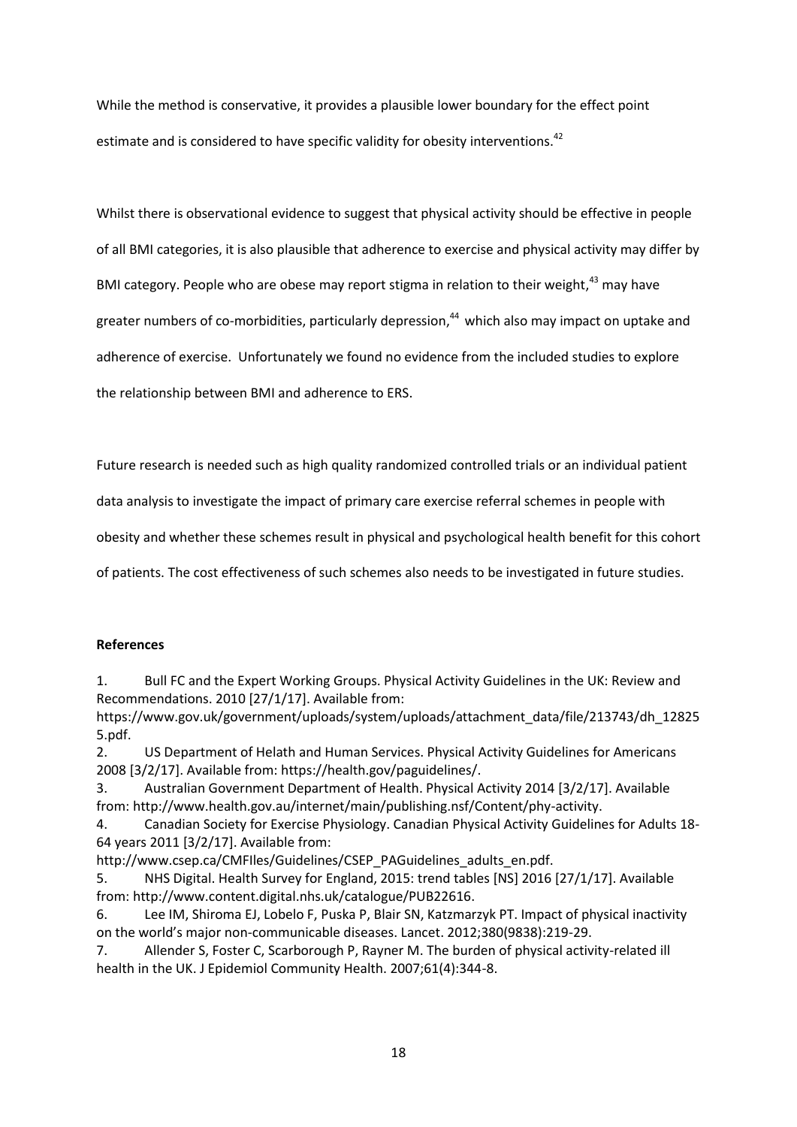While the method is conservative, it provides a plausible lower boundary for the effect point estimate and is considered to have specific validity for obesity interventions.<sup>42</sup>

Whilst there is observational evidence to suggest that physical activity should be effective in people of all BMI categories, it is also plausible that adherence to exercise and physical activity may differ by BMI category. People who are obese may report stigma in relation to their weight,<sup>43</sup> may have greater numbers of co-morbidities, particularly depression,<sup>44</sup> which also may impact on uptake and adherence of exercise. Unfortunately we found no evidence from the included studies to explore the relationship between BMI and adherence to ERS.

Future research is needed such as high quality randomized controlled trials or an individual patient

data analysis to investigate the impact of primary care exercise referral schemes in people with

obesity and whether these schemes result in physical and psychological health benefit for this cohort

of patients. The cost effectiveness of such schemes also needs to be investigated in future studies.

#### **References**

1. Bull FC and the Expert Working Groups. Physical Activity Guidelines in the UK: Review and Recommendations. 2010 [27/1/17]. Available from:

https:/[/www.gov.uk/government/uploads/system/uploads/attachment\\_data/file/213743/dh\\_12825](http://www.gov.uk/government/uploads/system/uploads/attachment_data/file/213743/dh_128255.pdf) [5.pdf.](http://www.gov.uk/government/uploads/system/uploads/attachment_data/file/213743/dh_128255.pdf)

2. US Department of Helath and Human Services. Physical Activity Guidelines for Americans 2008 [3/2/17]. Available from: https://health.gov/paguidelines/.

3. Australian Government Department of Health. Physical Activity 2014 [3/2/17]. Available from: [http://www.health.gov.au/internet/main/publishing.nsf/Content/phy-activity.](http://www.health.gov.au/internet/main/publishing.nsf/Content/phy-activity)

4. Canadian Society for Exercise Physiology. Canadian Physical Activity Guidelines for Adults 18- 64 years 2011 [3/2/17]. Available from:

[http://www.csep.ca/CMFIles/Guidelines/CSEP\\_PAGuidelines\\_adults\\_en.pdf.](http://www.csep.ca/CMFIles/Guidelines/CSEP_PAGuidelines_adults_en.pdf)

5. NHS Digital. Health Survey for England, 2015: trend tables [NS] 2016 [27/1/17]. Available from: [http://www.content.digital.nhs.uk/catalogue/PUB22616.](http://www.content.digital.nhs.uk/catalogue/PUB22616)

6. Lee IM, Shiroma EJ, Lobelo F, Puska P, Blair SN, Katzmarzyk PT. Impact of physical inactivity on the world's major non-communicable diseases. Lancet. 2012;380(9838):219-29.

7. Allender S, Foster C, Scarborough P, Rayner M. The burden of physical activity-related ill health in the UK. J Epidemiol Community Health. 2007;61(4):344-8.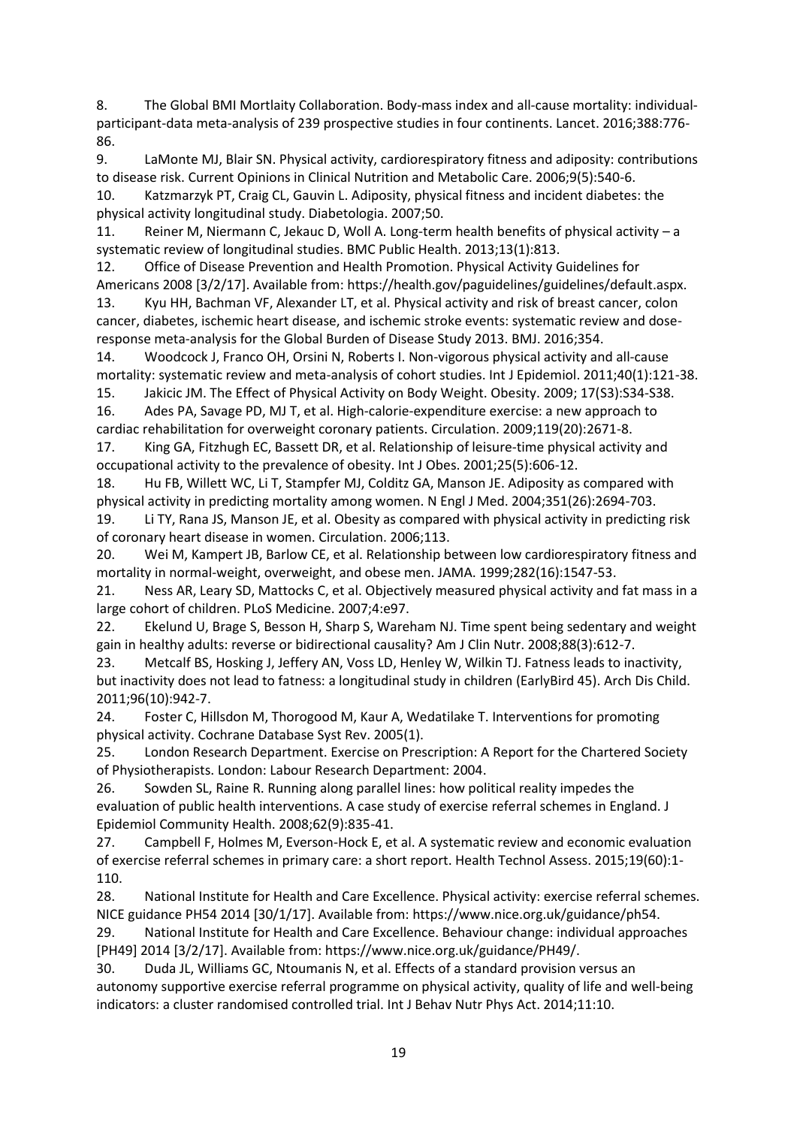8. The Global BMI Mortlaity Collaboration. Body-mass index and all-cause mortality: individualparticipant-data meta-analysis of 239 prospective studies in four continents. Lancet. 2016;388:776- 86.

9. LaMonte MJ, Blair SN. Physical activity, cardiorespiratory fitness and adiposity: contributions to disease risk. Current Opinions in Clinical Nutrition and Metabolic Care. 2006;9(5):540-6.

10. Katzmarzyk PT, Craig CL, Gauvin L. Adiposity, physical fitness and incident diabetes: the physical activity longitudinal study. Diabetologia. 2007;50.

11. Reiner M, Niermann C, Jekauc D, Woll A. Long-term health benefits of physical activity – a systematic review of longitudinal studies. BMC Public Health. 2013;13(1):813.

12. Office of Disease Prevention and Health Promotion. Physical Activity Guidelines for Americans 2008 [3/2/17]. Available from: https://health.gov/paguidelines/guidelines/default.aspx.

13. Kyu HH, Bachman VF, Alexander LT, et al. Physical activity and risk of breast cancer, colon cancer, diabetes, ischemic heart disease, and ischemic stroke events: systematic review and doseresponse meta-analysis for the Global Burden of Disease Study 2013. BMJ. 2016;354.

14. Woodcock J, Franco OH, Orsini N, Roberts I. Non-vigorous physical activity and all-cause mortality: systematic review and meta-analysis of cohort studies. Int J Epidemiol. 2011;40(1):121-38. 15. Jakicic JM. The Effect of Physical Activity on Body Weight. Obesity. 2009; 17(S3):S34-S38.

16. Ades PA, Savage PD, MJ T, et al. High-calorie-expenditure exercise: a new approach to

cardiac rehabilitation for overweight coronary patients. Circulation. 2009;119(20):2671-8. 17. King GA, Fitzhugh EC, Bassett DR, et al. Relationship of leisure-time physical activity and

occupational activity to the prevalence of obesity. Int J Obes. 2001;25(5):606-12.

18. Hu FB, Willett WC, Li T, Stampfer MJ, Colditz GA, Manson JE. Adiposity as compared with physical activity in predicting mortality among women. N Engl J Med. 2004;351(26):2694-703.

19. Li TY, Rana JS, Manson JE, et al. Obesity as compared with physical activity in predicting risk of coronary heart disease in women. Circulation. 2006;113.

20. Wei M, Kampert JB, Barlow CE, et al. Relationship between low cardiorespiratory fitness and mortality in normal-weight, overweight, and obese men. JAMA. 1999;282(16):1547-53.

21. Ness AR, Leary SD, Mattocks C, et al. Objectively measured physical activity and fat mass in a large cohort of children. PLoS Medicine. 2007;4:e97.

22. Ekelund U, Brage S, Besson H, Sharp S, Wareham NJ. Time spent being sedentary and weight gain in healthy adults: reverse or bidirectional causality? Am J Clin Nutr. 2008;88(3):612-7.

23. Metcalf BS, Hosking J, Jeffery AN, Voss LD, Henley W, Wilkin TJ. Fatness leads to inactivity, but inactivity does not lead to fatness: a longitudinal study in children (EarlyBird 45). Arch Dis Child. 2011;96(10):942-7.

24. Foster C, Hillsdon M, Thorogood M, Kaur A, Wedatilake T. Interventions for promoting physical activity. Cochrane Database Syst Rev. 2005(1).

25. London Research Department. Exercise on Prescription: A Report for the Chartered Society of Physiotherapists. London: Labour Research Department: 2004.

26. Sowden SL, Raine R. Running along parallel lines: how political reality impedes the evaluation of public health interventions. A case study of exercise referral schemes in England. J Epidemiol Community Health. 2008;62(9):835-41.

27. Campbell F, Holmes M, Everson-Hock E, et al. A systematic review and economic evaluation of exercise referral schemes in primary care: a short report. Health Technol Assess. 2015;19(60):1- 110.

28. National Institute for Health and Care Excellence. Physical activity: exercise referral schemes. NICE guidance PH54 2014 [30/1/17]. Available from: https:/[/www.nice.org.uk/guidance/ph54.](http://www.nice.org.uk/guidance/ph54)

29. National Institute for Health and Care Excellence. Behaviour change: individual approaches [PH49] 2014 [3/2/17]. Available from: https:/[/www.nice.org.uk/guidance/PH49/.](http://www.nice.org.uk/guidance/PH49/)

30. Duda JL, Williams GC, Ntoumanis N, et al. Effects of a standard provision versus an autonomy supportive exercise referral programme on physical activity, quality of life and well-being indicators: a cluster randomised controlled trial. Int J Behav Nutr Phys Act. 2014;11:10.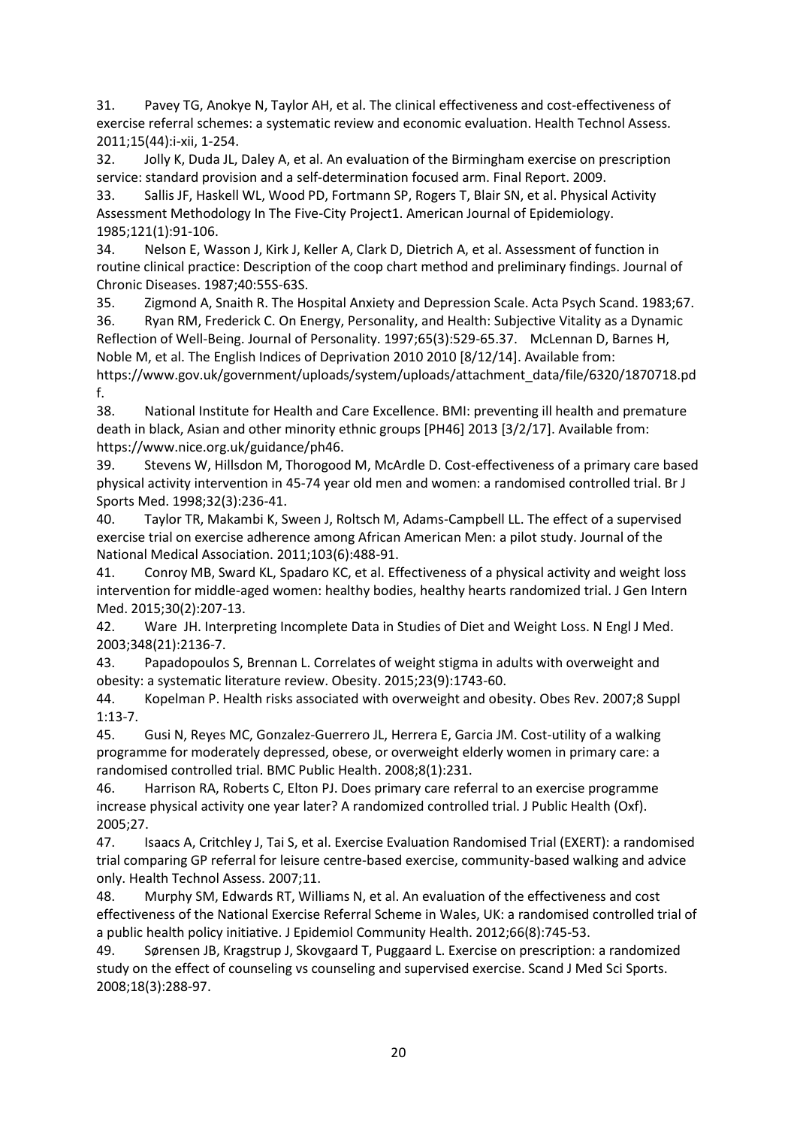31. Pavey TG, Anokye N, Taylor AH, et al. The clinical effectiveness and cost-effectiveness of exercise referral schemes: a systematic review and economic evaluation. Health Technol Assess. 2011;15(44):i-xii, 1-254.

32. Jolly K, Duda JL, Daley A, et al. An evaluation of the Birmingham exercise on prescription service: standard provision and a self-determination focused arm. Final Report. 2009.

33. Sallis JF, Haskell WL, Wood PD, Fortmann SP, Rogers T, Blair SN, et al. Physical Activity Assessment Methodology In The Five-City Project1. American Journal of Epidemiology. 1985;121(1):91-106.

34. Nelson E, Wasson J, Kirk J, Keller A, Clark D, Dietrich A, et al. Assessment of function in routine clinical practice: Description of the coop chart method and preliminary findings. Journal of Chronic Diseases. 1987;40:55S-63S.

35. Zigmond A, Snaith R. The Hospital Anxiety and Depression Scale. Acta Psych Scand. 1983;67.

36. Ryan RM, Frederick C. On Energy, Personality, and Health: Subjective Vitality as a Dynamic Reflection of Well-Being. Journal of Personality. 1997;65(3):529-65.37. McLennan D, Barnes H, Noble M, et al. The English Indices of Deprivation 2010 2010 [8/12/14]. Available from: https:/[/www.gov.uk/government/uploads/system/uploads/attachment\\_data/file/6320/1870718.pd](http://www.gov.uk/government/uploads/system/uploads/attachment_data/file/6320/1870718.pdf) [f.](http://www.gov.uk/government/uploads/system/uploads/attachment_data/file/6320/1870718.pdf)

38. National Institute for Health and Care Excellence. BMI: preventing ill health and premature death in black, Asian and other minority ethnic groups [PH46] 2013 [3/2/17]. Available from: https:/[/www.nice.org.uk/guidance/ph46.](http://www.nice.org.uk/guidance/ph46)

39. Stevens W, Hillsdon M, Thorogood M, McArdle D. Cost-effectiveness of a primary care based physical activity intervention in 45-74 year old men and women: a randomised controlled trial. Br J Sports Med. 1998;32(3):236-41.

40. Taylor TR, Makambi K, Sween J, Roltsch M, Adams-Campbell LL. The effect of a supervised exercise trial on exercise adherence among African American Men: a pilot study. Journal of the National Medical Association. 2011;103(6):488-91.

41. Conroy MB, Sward KL, Spadaro KC, et al. Effectiveness of a physical activity and weight loss intervention for middle-aged women: healthy bodies, healthy hearts randomized trial. J Gen Intern Med. 2015;30(2):207-13.

42. Ware JH. Interpreting Incomplete Data in Studies of Diet and Weight Loss. N Engl J Med. 2003;348(21):2136-7.

43. Papadopoulos S, Brennan L. Correlates of weight stigma in adults with overweight and obesity: a systematic literature review. Obesity. 2015;23(9):1743-60.

44. Kopelman P. Health risks associated with overweight and obesity. Obes Rev. 2007;8 Suppl 1:13-7.

45. Gusi N, Reyes MC, Gonzalez-Guerrero JL, Herrera E, Garcia JM. Cost-utility of a walking programme for moderately depressed, obese, or overweight elderly women in primary care: a randomised controlled trial. BMC Public Health. 2008;8(1):231.

46. Harrison RA, Roberts C, Elton PJ. Does primary care referral to an exercise programme increase physical activity one year later? A randomized controlled trial. J Public Health (Oxf). 2005;27.

47. Isaacs A, Critchley J, Tai S, et al. Exercise Evaluation Randomised Trial (EXERT): a randomised trial comparing GP referral for leisure centre-based exercise, community-based walking and advice only. Health Technol Assess. 2007;11.

48. Murphy SM, Edwards RT, Williams N, et al. An evaluation of the effectiveness and cost effectiveness of the National Exercise Referral Scheme in Wales, UK: a randomised controlled trial of a public health policy initiative. J Epidemiol Community Health. 2012;66(8):745-53.

49. Sørensen JB, Kragstrup J, Skovgaard T, Puggaard L. Exercise on prescription: a randomized study on the effect of counseling vs counseling and supervised exercise. Scand J Med Sci Sports. 2008;18(3):288-97.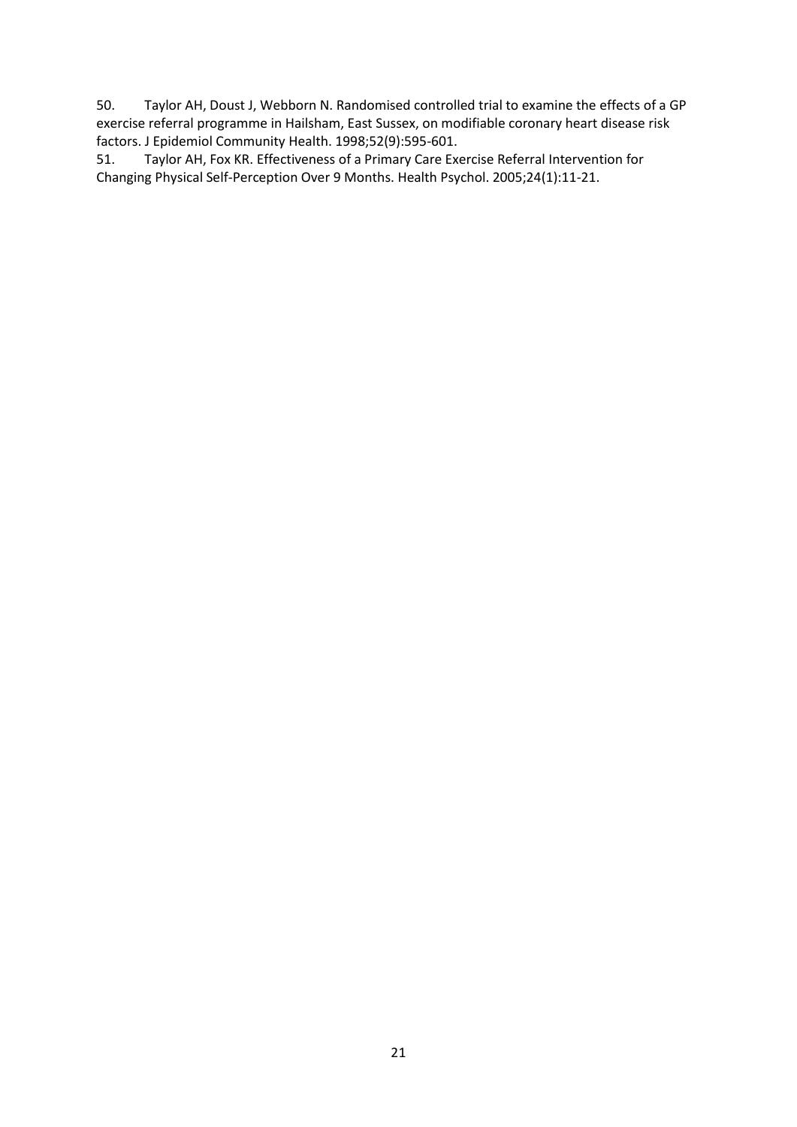50. Taylor AH, Doust J, Webborn N. Randomised controlled trial to examine the effects of a GP exercise referral programme in Hailsham, East Sussex, on modifiable coronary heart disease risk factors. J Epidemiol Community Health. 1998;52(9):595-601.

51. Taylor AH, Fox KR. Effectiveness of a Primary Care Exercise Referral Intervention for Changing Physical Self-Perception Over 9 Months. Health Psychol. 2005;24(1):11-21.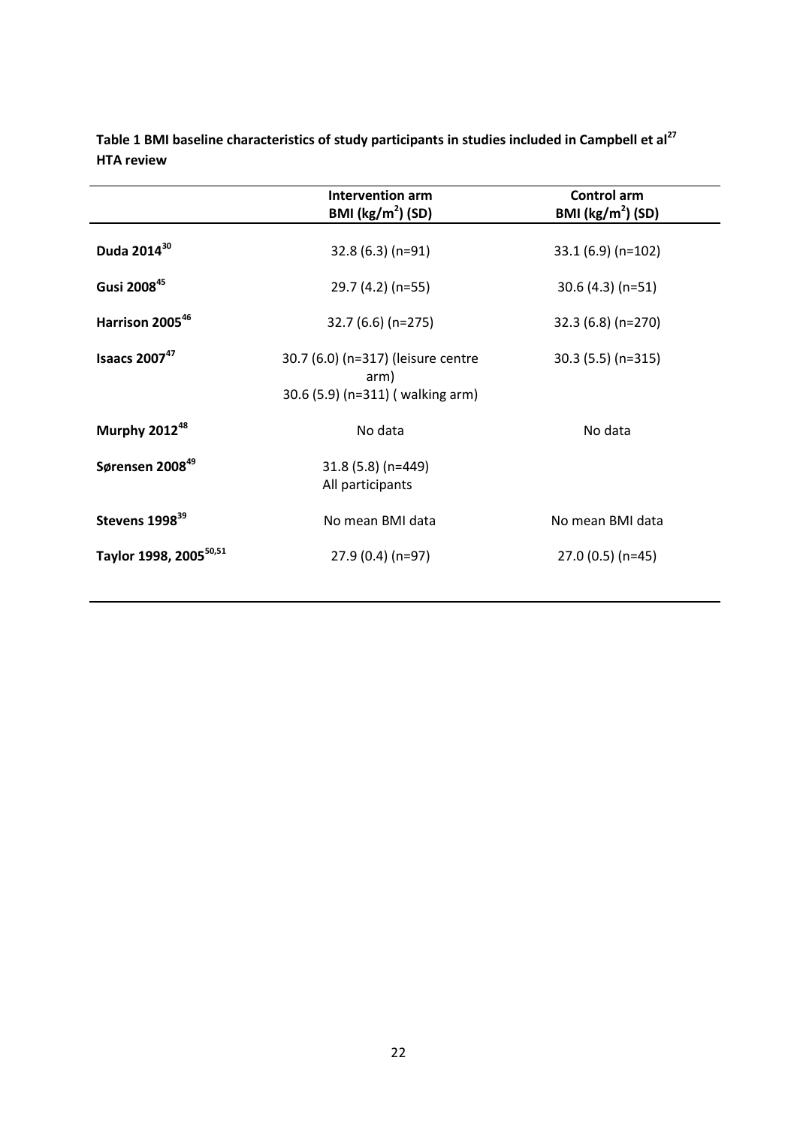|                                    | Intervention arm<br>BMI $(kg/m2)$ (SD)                                          | <b>Control arm</b><br>BMI $(kg/m2)$ (SD) |  |  |  |
|------------------------------------|---------------------------------------------------------------------------------|------------------------------------------|--|--|--|
| Duda 2014 <sup>30</sup>            | $32.8(6.3)(n=91)$                                                               | $33.1(6.9)(n=102)$                       |  |  |  |
| Gusi 200845                        | 29.7 (4.2) (n=55)                                                               | $30.6(4.3)(n=51)$                        |  |  |  |
| Harrison 2005 <sup>46</sup>        | 32.7 (6.6) (n=275)                                                              | 32.3 (6.8) (n=270)                       |  |  |  |
| Isaacs $2007^{47}$                 | 30.7 (6.0) (n=317) (leisure centre<br>arm)<br>30.6 (5.9) (n=311) ( walking arm) | $30.3(5.5)(n=315)$                       |  |  |  |
| Murphy 2012 <sup>48</sup>          | No data                                                                         | No data                                  |  |  |  |
| Sørensen 2008 <sup>49</sup>        | 31.8 (5.8) (n=449)<br>All participants                                          |                                          |  |  |  |
| Stevens 1998 <sup>39</sup>         | No mean BMI data                                                                | No mean BMI data                         |  |  |  |
| Taylor 1998, 2005 <sup>50,51</sup> | 27.9 (0.4) (n=97)                                                               | $27.0(0.5)(n=45)$                        |  |  |  |
|                                    |                                                                                 |                                          |  |  |  |

**Table 1 BMI baseline characteristics of study participants in studies included in Campbell et al<sup>27</sup> HTA review**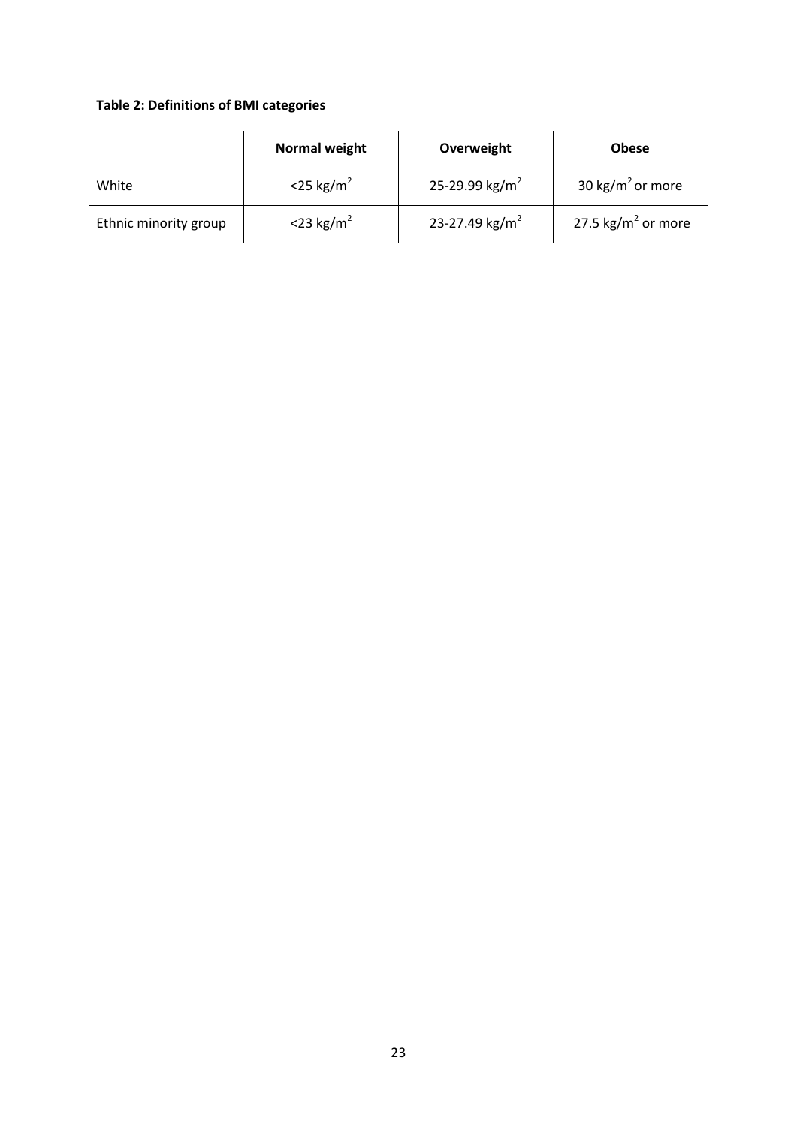## **Table 2: Definitions of BMI categories**

|                       | <b>Normal weight</b>     | Overweight                 | <b>Obese</b>                   |
|-----------------------|--------------------------|----------------------------|--------------------------------|
| White                 | $<$ 25 kg/m <sup>2</sup> | 25-29.99 kg/m <sup>2</sup> | 30 kg/m <sup>2</sup> or more   |
| Ethnic minority group | $<$ 23 kg/m <sup>2</sup> | 23-27.49 kg/m <sup>2</sup> | 27.5 kg/m <sup>2</sup> or more |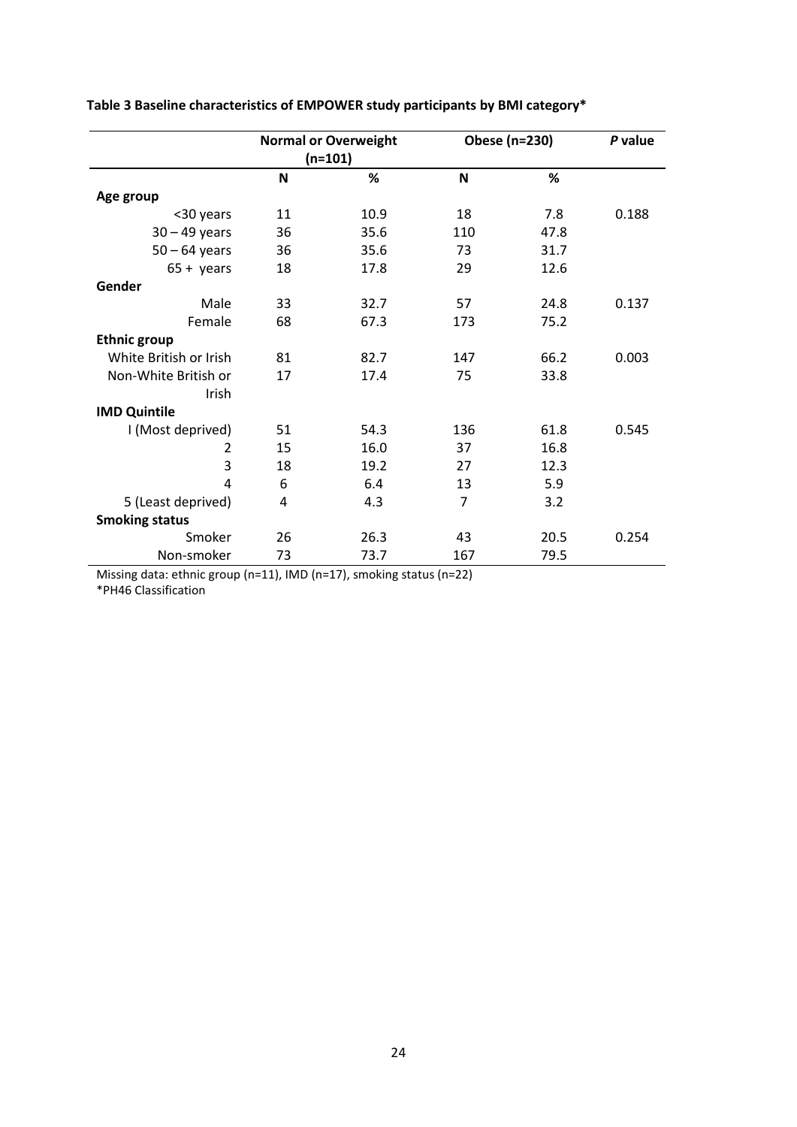|                        |           | <b>Normal or Overweight</b> | Obese (n=230)  | P value |       |
|------------------------|-----------|-----------------------------|----------------|---------|-------|
|                        | $(n=101)$ |                             |                |         |       |
|                        | N         | %                           | N              | %       |       |
| Age group              |           |                             |                |         |       |
| <30 years              | 11        | 10.9                        | 18             | 7.8     | 0.188 |
| $30 - 49$ years        | 36        | 35.6                        | 110            | 47.8    |       |
| $50 - 64$ years        | 36        | 35.6                        | 73             | 31.7    |       |
| $65 + \gamma$ ears     | 18        | 17.8                        | 29             | 12.6    |       |
| Gender                 |           |                             |                |         |       |
| Male                   | 33        | 32.7                        | 57             | 24.8    | 0.137 |
| Female                 | 68        | 67.3                        | 173            | 75.2    |       |
| <b>Ethnic group</b>    |           |                             |                |         |       |
| White British or Irish | 81        | 82.7                        | 147            | 66.2    | 0.003 |
| Non-White British or   | 17        | 17.4                        | 75             | 33.8    |       |
| Irish                  |           |                             |                |         |       |
| <b>IMD Quintile</b>    |           |                             |                |         |       |
| I (Most deprived)      | 51        | 54.3                        | 136            | 61.8    | 0.545 |
| 2                      | 15        | 16.0                        | 37             | 16.8    |       |
| 3                      | 18        | 19.2                        | 27             | 12.3    |       |
| 4                      | 6         | 6.4                         | 13             | 5.9     |       |
| 5 (Least deprived)     | 4         | 4.3                         | $\overline{7}$ | 3.2     |       |
| <b>Smoking status</b>  |           |                             |                |         |       |
| Smoker                 | 26        | 26.3                        | 43             | 20.5    | 0.254 |
| Non-smoker             | 73        | 73.7                        | 167            | 79.5    |       |

## **Table 3 Baseline characteristics of EMPOWER study participants by BMI category\***

Missing data: ethnic group (n=11), IMD (n=17), smoking status (n=22) \*PH46 Classification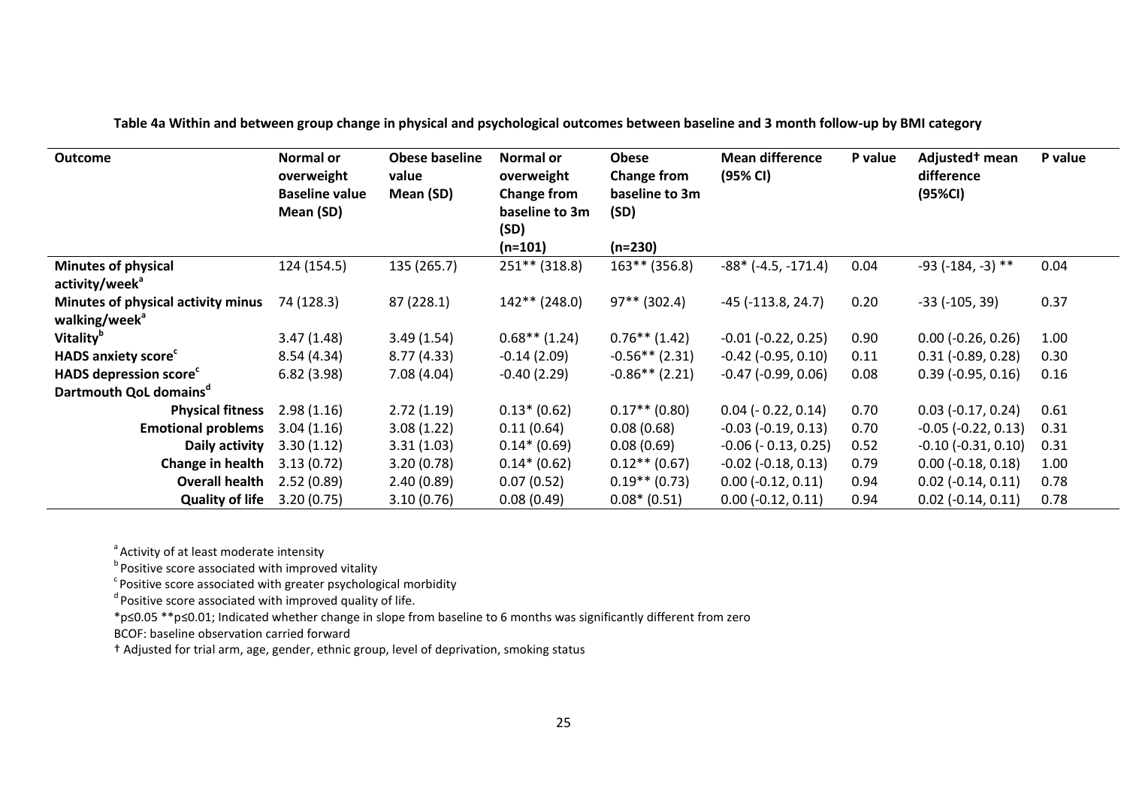| <b>Outcome</b>                         | <b>Normal or</b><br>overweight<br><b>Baseline value</b><br>Mean (SD) | <b>Obese baseline</b><br>value<br>Mean (SD) | Normal or<br>overweight<br><b>Change from</b><br>baseline to 3m<br>(SD)<br>$(n=101)$ | <b>Obese</b><br>Change from<br>baseline to 3m<br>(SD)<br>$(n=230)$ | <b>Mean difference</b><br>(95% CI) | P value | Adjusted <sup>†</sup> mean<br>difference<br>(95%CI) | P value |
|----------------------------------------|----------------------------------------------------------------------|---------------------------------------------|--------------------------------------------------------------------------------------|--------------------------------------------------------------------|------------------------------------|---------|-----------------------------------------------------|---------|
| <b>Minutes of physical</b>             | 124 (154.5)                                                          | 135 (265.7)                                 | $251***$ (318.8)                                                                     | $163**$ (356.8)                                                    | $-88*$ ( $-4.5, -171.4$ )          | 0.04    | $-93$ ( $-184$ , $-3$ ) **                          | 0.04    |
| activity/week <sup>a</sup>             |                                                                      |                                             |                                                                                      |                                                                    |                                    |         |                                                     |         |
| Minutes of physical activity minus     | 74 (128.3)                                                           | 87 (228.1)                                  | $142**$ (248.0)                                                                      | $97**$ (302.4)                                                     | $-45$ ( $-113.8$ , 24.7)           | 0.20    | $-33$ ( $-105, 39$ )                                | 0.37    |
| walking/week <sup>a</sup>              |                                                                      |                                             |                                                                                      |                                                                    |                                    |         |                                                     |         |
| <b>Vitality</b> <sup>b</sup>           | 3.47(1.48)                                                           | 3.49(1.54)                                  | $0.68**$ (1.24)                                                                      | $0.76**$ (1.42)                                                    | $-0.01$ $(-0.22, 0.25)$            | 0.90    | $0.00$ ( $-0.26$ , $0.26$ )                         | 1.00    |
| <b>HADS anxiety score</b> <sup>c</sup> | 8.54(4.34)                                                           | 8.77(4.33)                                  | $-0.14(2.09)$                                                                        | $-0.56**$ (2.31)                                                   | $-0.42$ $(-0.95, 0.10)$            | 0.11    | $0.31$ ( $-0.89$ , $0.28$ )                         | 0.30    |
| <b>HADS depression score</b>           | 6.82(3.98)                                                           | 7.08(4.04)                                  | $-0.40(2.29)$                                                                        | $-0.86**$ (2.21)                                                   | $-0.47$ $(-0.99, 0.06)$            | 0.08    | $0.39$ ( $-0.95$ , $0.16$ )                         | 0.16    |
| Dartmouth QoL domains <sup>a</sup>     |                                                                      |                                             |                                                                                      |                                                                    |                                    |         |                                                     |         |
| <b>Physical fitness</b>                | 2.98(1.16)                                                           | 2.72(1.19)                                  | $0.13*(0.62)$                                                                        | $0.17**$ (0.80)                                                    | $0.04$ ( $-0.22$ , $0.14$ )        | 0.70    | $0.03$ (-0.17, 0.24)                                | 0.61    |
| <b>Emotional problems</b>              | 3.04(1.16)                                                           | 3.08(1.22)                                  | 0.11(0.64)                                                                           | 0.08(0.68)                                                         | $-0.03$ $(-0.19, 0.13)$            | 0.70    | $-0.05$ ( $-0.22$ , $0.13$ )                        | 0.31    |
| Daily activity                         | 3.30(1.12)                                                           | 3.31(1.03)                                  | $0.14*(0.69)$                                                                        | 0.08(0.69)                                                         | $-0.06$ ( $-0.13$ , 0.25)          | 0.52    | $-0.10$ $(-0.31, 0.10)$                             | 0.31    |
| Change in health                       | 3.13(0.72)                                                           | 3.20(0.78)                                  | $0.14*(0.62)$                                                                        | $0.12**$ (0.67)                                                    | $-0.02$ $(-0.18, 0.13)$            | 0.79    | $0.00$ ( $-0.18$ , $0.18$ )                         | 1.00    |
| <b>Overall health</b>                  | 2.52(0.89)                                                           | 2.40(0.89)                                  | 0.07(0.52)                                                                           | $0.19**$ (0.73)                                                    | $0.00$ (-0.12, 0.11)               | 0.94    | $0.02$ ( $-0.14$ , $0.11$ )                         | 0.78    |
| <b>Quality of life</b>                 | 3.20(0.75)                                                           | 3.10(0.76)                                  | 0.08(0.49)                                                                           | $0.08*(0.51)$                                                      | $0.00$ ( $-0.12$ , $0.11$ )        | 0.94    | $0.02$ ( $-0.14$ , $0.11$ )                         | 0.78    |

**Table 4a Within and between group change in physical and psychological outcomes between baseline and 3 month follow-up by BMI category** 

<sup>a</sup> Activity of at least moderate intensity

<sup>b</sup> Positive score associated with improved vitality<br><sup>c</sup> Positive score associated with greater psychological morbidity<br><sup>d</sup> Positive score associated with improved quality of life.

\*p≤0.05 \*\*p≤0.01; Indicated whether change in slope from baseline to 6 months was significantly different from zero

BCOF: baseline observation carried forward

† Adjusted for trial arm, age, gender, ethnic group, level of deprivation, smoking status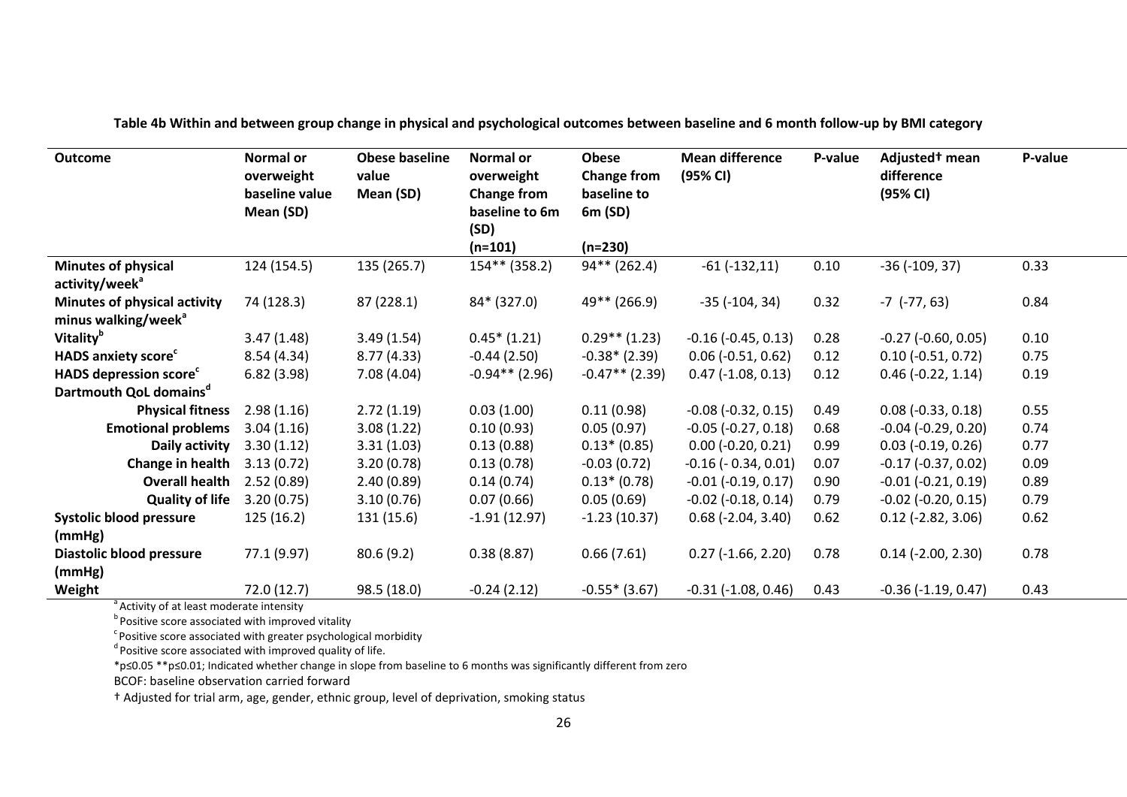| <b>Outcome</b>                         | Normal or<br>overweight<br>baseline value<br>Mean (SD) | <b>Obese baseline</b><br>value<br>Mean (SD) | Normal or<br>overweight<br><b>Change from</b><br>baseline to 6m<br>(SD)<br>$(n=101)$ | <b>Obese</b><br><b>Change from</b><br>baseline to<br>6m (SD)<br>$(n=230)$ | <b>Mean difference</b><br>(95% CI) | P-value | Adjusted <sup>t</sup> mean<br>difference<br>(95% CI) | P-value |
|----------------------------------------|--------------------------------------------------------|---------------------------------------------|--------------------------------------------------------------------------------------|---------------------------------------------------------------------------|------------------------------------|---------|------------------------------------------------------|---------|
| <b>Minutes of physical</b>             | 124 (154.5)                                            | 135 (265.7)                                 | 154** (358.2)                                                                        | 94** (262.4)                                                              | $-61$ $(-132, 11)$                 | 0.10    | $-36$ ( $-109, 37$ )                                 | 0.33    |
| activity/week <sup>a</sup>             |                                                        |                                             |                                                                                      |                                                                           |                                    |         |                                                      |         |
| Minutes of physical activity           | 74 (128.3)                                             | 87 (228.1)                                  | 84* (327.0)                                                                          | 49** (266.9)                                                              | $-35$ ( $-104$ , $34$ )            | 0.32    | $-7$ $(-77, 63)$                                     | 0.84    |
| minus walking/week <sup>a</sup>        |                                                        |                                             |                                                                                      |                                                                           |                                    |         |                                                      |         |
| <b>Vitality</b> <sup>b</sup>           | 3.47(1.48)                                             | 3.49(1.54)                                  | $0.45*(1.21)$                                                                        | $0.29**$ (1.23)                                                           | $-0.16$ $(-0.45, 0.13)$            | 0.28    | $-0.27$ $(-0.60, 0.05)$                              | 0.10    |
| <b>HADS anxiety score</b> <sup>c</sup> | 8.54(4.34)                                             | 8.77(4.33)                                  | $-0.44(2.50)$                                                                        | $-0.38*(2.39)$                                                            | $0.06$ ( $-0.51$ , $0.62$ )        | 0.12    | $0.10 (-0.51, 0.72)$                                 | 0.75    |
| HADS depression score <sup>c</sup>     | 6.82(3.98)                                             | 7.08(4.04)                                  | $-0.94**$ (2.96)                                                                     | $-0.47**$ (2.39)                                                          | $0.47$ (-1.08, 0.13)               | 0.12    | $0.46$ ( $-0.22$ , 1.14)                             | 0.19    |
| Dartmouth QoL domains <sup>d</sup>     |                                                        |                                             |                                                                                      |                                                                           |                                    |         |                                                      |         |
| <b>Physical fitness</b>                | 2.98(1.16)                                             | 2.72(1.19)                                  | 0.03(1.00)                                                                           | 0.11(0.98)                                                                | $-0.08$ $(-0.32, 0.15)$            | 0.49    | $0.08$ ( $-0.33$ , $0.18$ )                          | 0.55    |
| <b>Emotional problems</b>              | 3.04(1.16)                                             | 3.08(1.22)                                  | 0.10(0.93)                                                                           | 0.05(0.97)                                                                | $-0.05$ $(-0.27, 0.18)$            | 0.68    | $-0.04$ $(-0.29, 0.20)$                              | 0.74    |
| Daily activity                         | 3.30(1.12)                                             | 3.31(1.03)                                  | 0.13(0.88)                                                                           | $0.13*(0.85)$                                                             | $0.00$ (-0.20, 0.21)               | 0.99    | $0.03$ (-0.19, 0.26)                                 | 0.77    |
| Change in health                       | 3.13(0.72)                                             | 3.20(0.78)                                  | 0.13(0.78)                                                                           | $-0.03(0.72)$                                                             | $-0.16$ ( $-0.34$ , $0.01$ )       | 0.07    | $-0.17$ $(-0.37, 0.02)$                              | 0.09    |
| <b>Overall health</b>                  | 2.52(0.89)                                             | 2.40(0.89)                                  | 0.14(0.74)                                                                           | $0.13*(0.78)$                                                             | $-0.01$ $(-0.19, 0.17)$            | 0.90    | $-0.01$ $(-0.21, 0.19)$                              | 0.89    |
| <b>Quality of life</b>                 | 3.20(0.75)                                             | 3.10(0.76)                                  | 0.07(0.66)                                                                           | 0.05(0.69)                                                                | $-0.02$ $(-0.18, 0.14)$            | 0.79    | $-0.02$ $(-0.20, 0.15)$                              | 0.79    |
| <b>Systolic blood pressure</b>         | 125 (16.2)                                             | 131 (15.6)                                  | $-1.91(12.97)$                                                                       | $-1.23(10.37)$                                                            | $0.68$ (-2.04, 3.40)               | 0.62    | $0.12$ (-2.82, 3.06)                                 | 0.62    |
| (mmHg)                                 |                                                        |                                             |                                                                                      |                                                                           |                                    |         |                                                      |         |
| Diastolic blood pressure               | 77.1 (9.97)                                            | 80.6(9.2)                                   | 0.38(8.87)                                                                           | 0.66(7.61)                                                                | $0.27$ (-1.66, 2.20)               | 0.78    | $0.14$ (-2.00, 2.30)                                 | 0.78    |
| (mmHg)                                 |                                                        |                                             |                                                                                      |                                                                           |                                    |         |                                                      |         |
| Weight                                 | 72.0(12.7)                                             | 98.5 (18.0)                                 | $-0.24(2.12)$                                                                        | $-0.55*(3.67)$                                                            | $-0.31$ $(-1.08, 0.46)$            | 0.43    | $-0.36$ $(-1.19, 0.47)$                              | 0.43    |

**Table 4b Within and between group change in physical and psychological outcomes between baseline and 6 month follow-up by BMI category**

<sup>a</sup> Activity of at least moderate intensity

 $^{\text{b}}$  Positive score associated with improved vitality

 $\textsuperscript{c}$  Positive score associated with greater psychological morbidity  $\textsuperscript{d}$  Positive score associated with improved quality of life.

\*p≤0.05 \*\*p≤0.01; Indicated whether change in slope from baseline to 6 months was significantly different from zero

BCOF: baseline observation carried forward

† Adjusted for trial arm, age, gender, ethnic group, level of deprivation, smoking status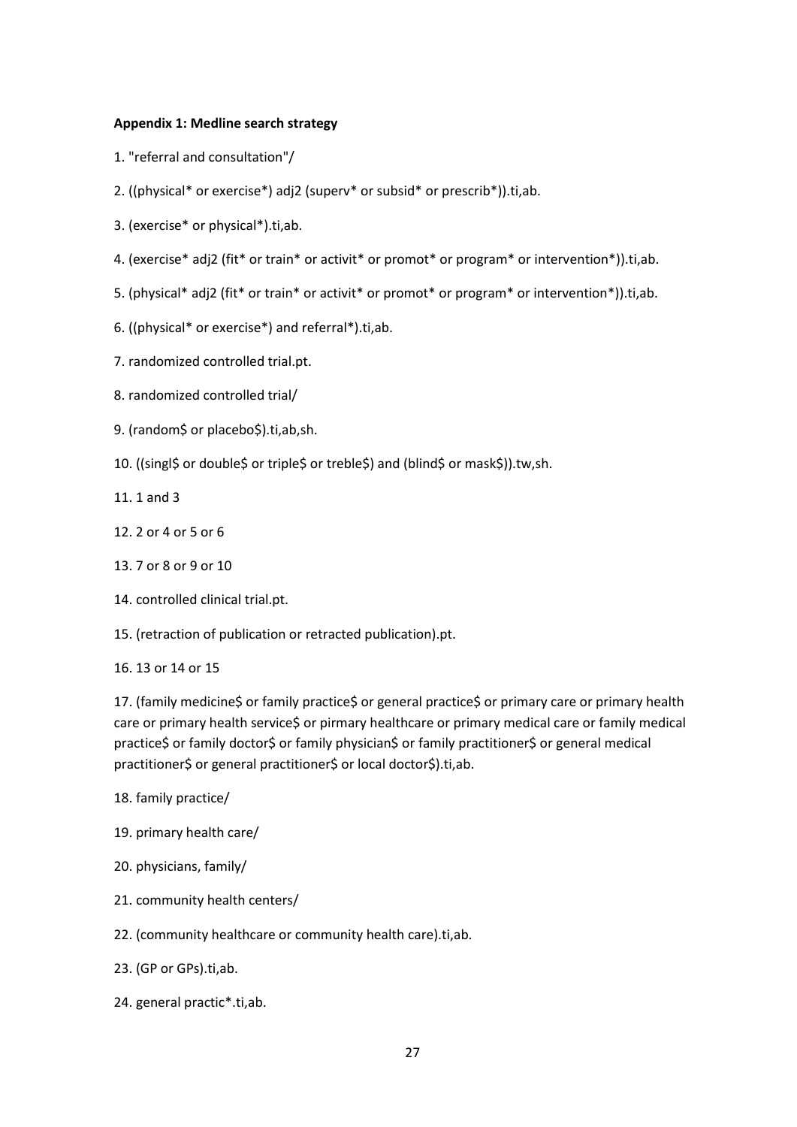#### **Appendix 1: Medline search strategy**

- 1. "referral and consultation"/
- 2. ((physical\* or exercise\*) adj2 (superv\* or subsid\* or prescrib\*)).ti,ab.
- 3. (exercise\* or physical\*).ti,ab.
- 4. (exercise\* adj2 (fit\* or train\* or activit\* or promot\* or program\* or intervention\*)).ti,ab.
- 5. (physical\* adj2 (fit\* or train\* or activit\* or promot\* or program\* or intervention\*)).ti,ab.
- 6. ((physical\* or exercise\*) and referral\*).ti,ab.
- 7. randomized controlled trial.pt.
- 8. randomized controlled trial/
- 9. (random\$ or placebo\$).ti,ab,sh.
- 10. ((singl\$ or double\$ or triple\$ or treble\$) and (blind\$ or mask\$)).tw,sh.
- 11. 1 and 3
- 12. 2 or 4 or 5 or 6
- 13. 7 or 8 or 9 or 10
- 14. controlled clinical trial.pt.
- 15. (retraction of publication or retracted publication).pt.
- 16. 13 or 14 or 15

17. (family medicine\$ or family practice\$ or general practice\$ or primary care or primary health care or primary health service\$ or pirmary healthcare or primary medical care or family medical practice\$ or family doctor\$ or family physician\$ or family practitioner\$ or general medical practitioner\$ or general practitioner\$ or local doctor\$).ti,ab.

- 18. family practice/
- 19. primary health care/
- 20. physicians, family/
- 21. community health centers/
- 22. (community healthcare or community health care).ti,ab.
- 23. (GP or GPs).ti,ab.
- 24. general practic\*.ti,ab.